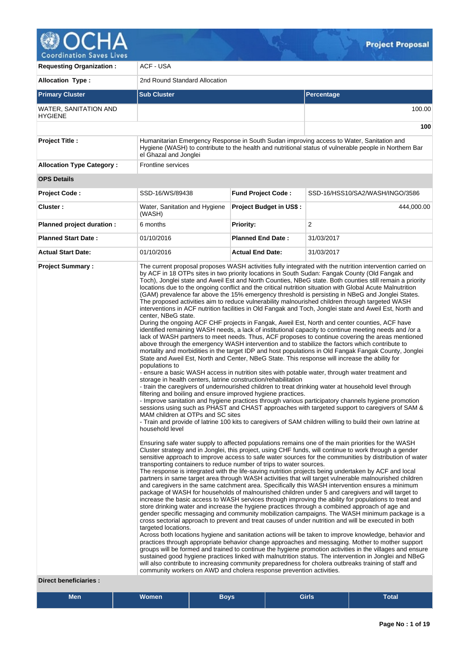

**Coordination Saves Lives** 

| <b>Requesting Organization:</b>                         | ACF - USA                                                                                                                                                                                                                                                                                                                                                                                             |                                |                                                                                                                                                                                                                                                                                                                                                                                                                                                                                                                                                                                                                                                                                                                                                                                                                                                                                                                                                                                                                                                                                                                                                                                                                                                                                                                                                                                                                                                                                                                                                                                                                                                                                                                                                                                                                                                                                                                                                                                                                                                                                                                                                                                                                                                                                                                                                                                                                                                                                                                                                                                                                                                                                                                                                                                                                                                                                                                                                                                                                                                                                                                                                                                                                                                                                                                                                                                                                                                                                                                                                                                                                                               |  |  |  |  |
|---------------------------------------------------------|-------------------------------------------------------------------------------------------------------------------------------------------------------------------------------------------------------------------------------------------------------------------------------------------------------------------------------------------------------------------------------------------------------|--------------------------------|-----------------------------------------------------------------------------------------------------------------------------------------------------------------------------------------------------------------------------------------------------------------------------------------------------------------------------------------------------------------------------------------------------------------------------------------------------------------------------------------------------------------------------------------------------------------------------------------------------------------------------------------------------------------------------------------------------------------------------------------------------------------------------------------------------------------------------------------------------------------------------------------------------------------------------------------------------------------------------------------------------------------------------------------------------------------------------------------------------------------------------------------------------------------------------------------------------------------------------------------------------------------------------------------------------------------------------------------------------------------------------------------------------------------------------------------------------------------------------------------------------------------------------------------------------------------------------------------------------------------------------------------------------------------------------------------------------------------------------------------------------------------------------------------------------------------------------------------------------------------------------------------------------------------------------------------------------------------------------------------------------------------------------------------------------------------------------------------------------------------------------------------------------------------------------------------------------------------------------------------------------------------------------------------------------------------------------------------------------------------------------------------------------------------------------------------------------------------------------------------------------------------------------------------------------------------------------------------------------------------------------------------------------------------------------------------------------------------------------------------------------------------------------------------------------------------------------------------------------------------------------------------------------------------------------------------------------------------------------------------------------------------------------------------------------------------------------------------------------------------------------------------------------------------------------------------------------------------------------------------------------------------------------------------------------------------------------------------------------------------------------------------------------------------------------------------------------------------------------------------------------------------------------------------------------------------------------------------------------------------------------------------------|--|--|--|--|
| <b>Allocation Type:</b>                                 | 2nd Round Standard Allocation                                                                                                                                                                                                                                                                                                                                                                         |                                |                                                                                                                                                                                                                                                                                                                                                                                                                                                                                                                                                                                                                                                                                                                                                                                                                                                                                                                                                                                                                                                                                                                                                                                                                                                                                                                                                                                                                                                                                                                                                                                                                                                                                                                                                                                                                                                                                                                                                                                                                                                                                                                                                                                                                                                                                                                                                                                                                                                                                                                                                                                                                                                                                                                                                                                                                                                                                                                                                                                                                                                                                                                                                                                                                                                                                                                                                                                                                                                                                                                                                                                                                                               |  |  |  |  |
| <b>Primary Cluster</b>                                  | <b>Sub Cluster</b>                                                                                                                                                                                                                                                                                                                                                                                    |                                | Percentage                                                                                                                                                                                                                                                                                                                                                                                                                                                                                                                                                                                                                                                                                                                                                                                                                                                                                                                                                                                                                                                                                                                                                                                                                                                                                                                                                                                                                                                                                                                                                                                                                                                                                                                                                                                                                                                                                                                                                                                                                                                                                                                                                                                                                                                                                                                                                                                                                                                                                                                                                                                                                                                                                                                                                                                                                                                                                                                                                                                                                                                                                                                                                                                                                                                                                                                                                                                                                                                                                                                                                                                                                                    |  |  |  |  |
| WATER, SANITATION AND<br><b>HYGIENE</b>                 |                                                                                                                                                                                                                                                                                                                                                                                                       |                                | 100.00                                                                                                                                                                                                                                                                                                                                                                                                                                                                                                                                                                                                                                                                                                                                                                                                                                                                                                                                                                                                                                                                                                                                                                                                                                                                                                                                                                                                                                                                                                                                                                                                                                                                                                                                                                                                                                                                                                                                                                                                                                                                                                                                                                                                                                                                                                                                                                                                                                                                                                                                                                                                                                                                                                                                                                                                                                                                                                                                                                                                                                                                                                                                                                                                                                                                                                                                                                                                                                                                                                                                                                                                                                        |  |  |  |  |
|                                                         |                                                                                                                                                                                                                                                                                                                                                                                                       |                                | 100                                                                                                                                                                                                                                                                                                                                                                                                                                                                                                                                                                                                                                                                                                                                                                                                                                                                                                                                                                                                                                                                                                                                                                                                                                                                                                                                                                                                                                                                                                                                                                                                                                                                                                                                                                                                                                                                                                                                                                                                                                                                                                                                                                                                                                                                                                                                                                                                                                                                                                                                                                                                                                                                                                                                                                                                                                                                                                                                                                                                                                                                                                                                                                                                                                                                                                                                                                                                                                                                                                                                                                                                                                           |  |  |  |  |
| <b>Project Title:</b>                                   | el Ghazal and Jonglei                                                                                                                                                                                                                                                                                                                                                                                 |                                | Humanitarian Emergency Response in South Sudan improving access to Water, Sanitation and<br>Hygiene (WASH) to contribute to the health and nutritional status of vulnerable people in Northern Bar                                                                                                                                                                                                                                                                                                                                                                                                                                                                                                                                                                                                                                                                                                                                                                                                                                                                                                                                                                                                                                                                                                                                                                                                                                                                                                                                                                                                                                                                                                                                                                                                                                                                                                                                                                                                                                                                                                                                                                                                                                                                                                                                                                                                                                                                                                                                                                                                                                                                                                                                                                                                                                                                                                                                                                                                                                                                                                                                                                                                                                                                                                                                                                                                                                                                                                                                                                                                                                            |  |  |  |  |
| <b>Allocation Type Category:</b>                        | Frontline services                                                                                                                                                                                                                                                                                                                                                                                    |                                |                                                                                                                                                                                                                                                                                                                                                                                                                                                                                                                                                                                                                                                                                                                                                                                                                                                                                                                                                                                                                                                                                                                                                                                                                                                                                                                                                                                                                                                                                                                                                                                                                                                                                                                                                                                                                                                                                                                                                                                                                                                                                                                                                                                                                                                                                                                                                                                                                                                                                                                                                                                                                                                                                                                                                                                                                                                                                                                                                                                                                                                                                                                                                                                                                                                                                                                                                                                                                                                                                                                                                                                                                                               |  |  |  |  |
| <b>OPS Details</b>                                      |                                                                                                                                                                                                                                                                                                                                                                                                       |                                |                                                                                                                                                                                                                                                                                                                                                                                                                                                                                                                                                                                                                                                                                                                                                                                                                                                                                                                                                                                                                                                                                                                                                                                                                                                                                                                                                                                                                                                                                                                                                                                                                                                                                                                                                                                                                                                                                                                                                                                                                                                                                                                                                                                                                                                                                                                                                                                                                                                                                                                                                                                                                                                                                                                                                                                                                                                                                                                                                                                                                                                                                                                                                                                                                                                                                                                                                                                                                                                                                                                                                                                                                                               |  |  |  |  |
| <b>Project Code:</b>                                    | SSD-16/WS/89438                                                                                                                                                                                                                                                                                                                                                                                       | <b>Fund Project Code:</b>      | SSD-16/HSS10/SA2/WASH/INGO/3586                                                                                                                                                                                                                                                                                                                                                                                                                                                                                                                                                                                                                                                                                                                                                                                                                                                                                                                                                                                                                                                                                                                                                                                                                                                                                                                                                                                                                                                                                                                                                                                                                                                                                                                                                                                                                                                                                                                                                                                                                                                                                                                                                                                                                                                                                                                                                                                                                                                                                                                                                                                                                                                                                                                                                                                                                                                                                                                                                                                                                                                                                                                                                                                                                                                                                                                                                                                                                                                                                                                                                                                                               |  |  |  |  |
| Cluster:                                                | Water, Sanitation and Hygiene<br>(WASH)                                                                                                                                                                                                                                                                                                                                                               | <b>Project Budget in US\$:</b> | 444,000.00                                                                                                                                                                                                                                                                                                                                                                                                                                                                                                                                                                                                                                                                                                                                                                                                                                                                                                                                                                                                                                                                                                                                                                                                                                                                                                                                                                                                                                                                                                                                                                                                                                                                                                                                                                                                                                                                                                                                                                                                                                                                                                                                                                                                                                                                                                                                                                                                                                                                                                                                                                                                                                                                                                                                                                                                                                                                                                                                                                                                                                                                                                                                                                                                                                                                                                                                                                                                                                                                                                                                                                                                                                    |  |  |  |  |
| Planned project duration :                              | 6 months                                                                                                                                                                                                                                                                                                                                                                                              | Priority:                      | 2                                                                                                                                                                                                                                                                                                                                                                                                                                                                                                                                                                                                                                                                                                                                                                                                                                                                                                                                                                                                                                                                                                                                                                                                                                                                                                                                                                                                                                                                                                                                                                                                                                                                                                                                                                                                                                                                                                                                                                                                                                                                                                                                                                                                                                                                                                                                                                                                                                                                                                                                                                                                                                                                                                                                                                                                                                                                                                                                                                                                                                                                                                                                                                                                                                                                                                                                                                                                                                                                                                                                                                                                                                             |  |  |  |  |
| <b>Planned Start Date:</b>                              | 01/10/2016                                                                                                                                                                                                                                                                                                                                                                                            | <b>Planned End Date:</b>       | 31/03/2017                                                                                                                                                                                                                                                                                                                                                                                                                                                                                                                                                                                                                                                                                                                                                                                                                                                                                                                                                                                                                                                                                                                                                                                                                                                                                                                                                                                                                                                                                                                                                                                                                                                                                                                                                                                                                                                                                                                                                                                                                                                                                                                                                                                                                                                                                                                                                                                                                                                                                                                                                                                                                                                                                                                                                                                                                                                                                                                                                                                                                                                                                                                                                                                                                                                                                                                                                                                                                                                                                                                                                                                                                                    |  |  |  |  |
| <b>Actual Start Date:</b>                               | 01/10/2016                                                                                                                                                                                                                                                                                                                                                                                            | <b>Actual End Date:</b>        | 31/03/2017                                                                                                                                                                                                                                                                                                                                                                                                                                                                                                                                                                                                                                                                                                                                                                                                                                                                                                                                                                                                                                                                                                                                                                                                                                                                                                                                                                                                                                                                                                                                                                                                                                                                                                                                                                                                                                                                                                                                                                                                                                                                                                                                                                                                                                                                                                                                                                                                                                                                                                                                                                                                                                                                                                                                                                                                                                                                                                                                                                                                                                                                                                                                                                                                                                                                                                                                                                                                                                                                                                                                                                                                                                    |  |  |  |  |
| <b>Project Summary:</b><br><b>Direct beneficiaries:</b> | center, NBeG state.<br>populations to<br>storage in health centers, latrine construction/rehabilitation<br>filtering and boiling and ensure improved hygiene practices.<br>MAM children at OTPs and SC sites<br>household level<br>transporting containers to reduce number of trips to water sources.<br>targeted locations.<br>community workers on AWD and cholera response prevention activities. |                                | The current proposal proposes WASH activities fully integrated with the nutrition intervention carried on<br>by ACF in 18 OTPs sites in two priority locations in South Sudan: Fangak County (Old Fangak and<br>Toch), Jonglei state and Aweil Est and North Counties, NBeG state. Both counties still remain a priority<br>locations due to the ongoing conflict and the critical nutrition situation with Global Acute Malnutrition<br>(GAM) prevalence far above the 15% emergency threshold is persisting in NBeG and Jonglei States.<br>The proposed activities aim to reduce vulnerability malnourished children through targeted WASH<br>interventions in ACF nutrition facilities in Old Fangak and Toch, Jonglei state and Aweil Est, North and<br>During the ongoing ACF CHF projects in Fangak, Aweil Est, North and center counties, ACF have<br>identified remaining WASH needs, a lack of institutional capacity to continue meeting needs and /or a<br>lack of WASH partners to meet needs. Thus, ACF proposes to continue covering the areas mentioned<br>above through the emergency WASH intervention and to stabilize the factors which contribute to<br>mortality and morbidities in the target IDP and host populations in Old Fangak Fangak County, Jonglei<br>State and Aweil Est, North and Center, NBeG State. This response will increase the ability for<br>- ensure a basic WASH access in nutrition sites with potable water, through water treatment and<br>- train the caregivers of undernourished children to treat drinking water at household level through<br>- Improve sanitation and hygiene practices through various participatory channels hygiene promotion<br>sessions using such as PHAST and CHAST approaches with targeted support to caregivers of SAM &<br>- Train and provide of latrine 100 kits to caregivers of SAM children willing to build their own latrine at<br>Ensuring safe water supply to affected populations remains one of the main priorities for the WASH<br>Cluster strategy and in Jonglei, this project, using CHF funds, will continue to work through a gender<br>sensitive approach to improve access to safe water sources for the communities by distribution of water<br>The response is integrated with the life-saving nutrition projects being undertaken by ACF and local<br>partners in same target area through WASH activities that will target vulnerable malnourished children<br>and caregivers in the same catchment area. Specifically this WASH intervention ensures a minimum<br>package of WASH for households of malnourished children under 5 and caregivers and will target to<br>increase the basic access to WASH services through improving the ability for populations to treat and<br>store drinking water and increase the hygiene practices through a combined approach of age and<br>gender specific messaging and community mobilization campaigns. The WASH minimum package is a<br>cross sectorial approach to prevent and treat causes of under nutrition and will be executed in both<br>Across both locations hygiene and sanitation actions will be taken to improve knowledge, behavior and<br>practices through appropriate behavior change approaches and messaging. Mother to mother support<br>groups will be formed and trained to continue the hygiene promotion activities in the villages and ensure<br>sustained good hygiene practices linked with malnutrition status. The intervention in Jonglei and NBeG<br>will also contribute to increasing community preparedness for cholera outbreaks training of staff and |  |  |  |  |

**Men Women Boys Girls Total**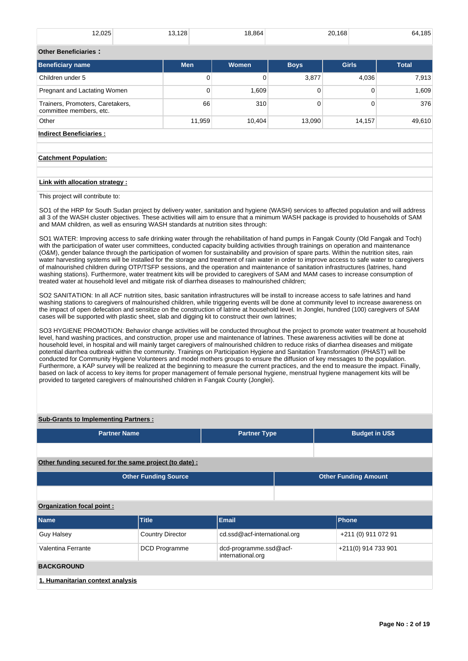| 12,025                                                      | 13,128     | 18,864   |             | 20,168       | 64,185       |
|-------------------------------------------------------------|------------|----------|-------------|--------------|--------------|
| <b>Other Beneficiaries:</b>                                 |            |          |             |              |              |
| <b>Beneficiary name</b>                                     | <b>Men</b> | Women    | <b>Boys</b> | <b>Girls</b> | <b>Total</b> |
| Children under 5                                            | 0          | $\Omega$ | 3,877       | 4,036        | 7,913        |
| Pregnant and Lactating Women                                | 0          | 1,609    | 0           | 0            | 1,609        |
| Trainers, Promoters, Caretakers,<br>committee members, etc. | 66         | 310      | $\Omega$    | 0            | 376          |
| Other                                                       | 11,959     | 10,404   | 13,090      | 14,157       | 49,610       |
| <b>Indirect Beneficiaries:</b>                              |            |          |             |              |              |
|                                                             |            |          |             |              |              |
| <b>Catchment Population:</b>                                |            |          |             |              |              |

## **Link with allocation strategy :**

This project will contribute to:

SO1 of the HRP for South Sudan project by delivery water, sanitation and hygiene (WASH) services to affected population and will address all 3 of the WASH cluster objectives. These activities will aim to ensure that a minimum WASH package is provided to households of SAM and MAM children, as well as ensuring WASH standards at nutrition sites through:

SO1 WATER: Improving access to safe drinking water through the rehabilitation of hand pumps in Fangak County (Old Fangak and Toch) with the participation of water user committees, conducted capacity building activities through trainings on operation and maintenance (O&M), gender balance through the participation of women for sustainability and provision of spare parts. Within the nutrition sites, rain water harvesting systems will be installed for the storage and treatment of rain water in order to improve access to safe water to caregivers of malnourished children during OTP/TSFP sessions, and the operation and maintenance of sanitation infrastructures (latrines, hand washing stations). Furthermore, water treatment kits will be provided to caregivers of SAM and MAM cases to increase consumption of treated water at household level and mitigate risk of diarrhea diseases to malnourished children;

SO2 SANITATION: In all ACF nutrition sites, basic sanitation infrastructures will be install to increase access to safe latrines and hand washing stations to caregivers of malnourished children, while triggering events will be done at community level to increase awareness on the impact of open defecation and sensitize on the construction of latrine at household level. In Jonglei, hundred (100) caregivers of SAM cases will be supported with plastic sheet, slab and digging kit to construct their own latrines;

SO3 HYGIENE PROMOTION: Behavior change activities will be conducted throughout the project to promote water treatment at household level, hand washing practices, and construction, proper use and maintenance of latrines. These awareness activities will be done at household level, in hospital and will mainly target caregivers of malnourished children to reduce risks of diarrhea diseases and mitigate potential diarrhea outbreak within the community. Trainings on Participation Hygiene and Sanitation Transformation (PHAST) will be conducted for Community Hygiene Volunteers and model mothers groups to ensure the diffusion of key messages to the population. Furthermore, a KAP survey will be realized at the beginning to measure the current practices, and the end to measure the impact. Finally, based on lack of access to key items for proper management of female personal hygiene, menstrual hygiene management kits will be provided to targeted caregivers of malnourished children in Fangak County (Jonglei).

## **Sub-Grants to Implementing Partners :**

| <b>Partner Name</b> | <b>Partner Type</b> | <b>Budget in US\$</b> |
|---------------------|---------------------|-----------------------|
|                     |                     |                       |

### **Other funding secured for the same project (to date) :**

| <b>Other Funding Source</b> | <b>Other Funding Amount</b> |
|-----------------------------|-----------------------------|
|                             |                             |

#### **Organization focal point :**

| <b>Name</b>                      | <b>Title</b>            | Email                                       | <b>Phone</b>        |
|----------------------------------|-------------------------|---------------------------------------------|---------------------|
| <b>Guy Halsey</b>                | <b>Country Director</b> | cd.ssd@acf-international.org                | +211 (0) 911 072 91 |
| Valentina Ferrante               | DCD Programme           | dcd-programme.ssd@acf-<br>international.org | +211(0) 914 733 901 |
| <b>BACKGROUND</b>                |                         |                                             |                     |
| 1. Humanitarian context analysis |                         |                                             |                     |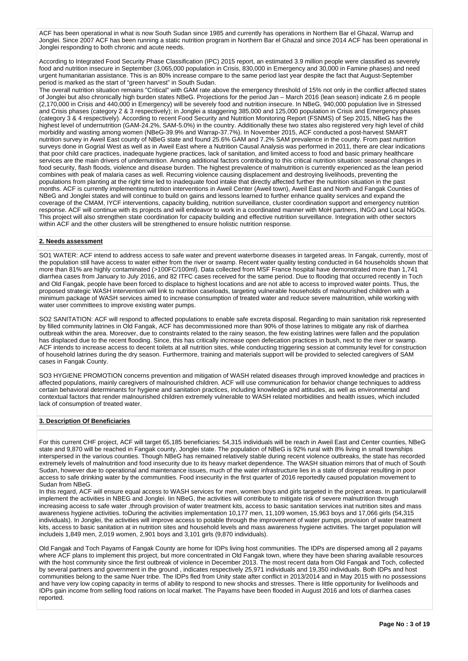ACF has been operational in what is now South Sudan since 1985 and currently has operations in Northern Bar el Ghazal, Warrup and Jonglei. Since 2007 ACF has been running a static nutrition program in Northern Bar el Ghazal and since 2014 ACF has been operational in Jonglei responding to both chronic and acute needs.

According to Integrated Food Security Phase Classification (IPC) 2015 report, an estimated 3.9 million people were classified as severely food and nutrition insecure in September (3,065,000 population in Crisis, 830,000 in Emergency and 30,000 in Famine phases) and need urgent humanitarian assistance. This is an 80% increase compare to the same period last year despite the fact that August-September period is marked as the start of "green harvest" in South Sudan.

The overall nutrition situation remains "Critical" with GAM rate above the emergency threshold of 15% not only in the conflict affected states of Jonglei but also chronically high burden states NBeG. Projections for the period Jan – March 2016 (lean season) indicate 2.6 m people (2,170,000 in Crisis and 440,000 in Emergency) will be severely food and nutrition insecure. In NBeG, 940,000 population live in Stressed and Crisis phases (category 2 & 3 respectively); in Jonglei a staggering 385,000 and 125,000 population in Crisis and Emergency phases (category 3 & 4 respectively). According to recent Food Security and Nutrition Monitoring Report (FSNMS) of Sep 2015, NBeG has the highest level of undernutrition (GAM-24.2%, SAM-5.0%) in the country. Additionally these two states also registered very high level of child morbidity and wasting among women (NBeG-39.9% and Warrap-37.7%). In November 2015, ACF conducted a post-harvest SMART nutrition survey in Aweil East county of NBeG state and found 25.6% GAM and 7.2% SAM prevalence in the county. From past nutrition surveys done in Gogrial West as well as in Aweil East where a Nutrition Causal Analysis was performed in 2011, there are clear indications that poor child care practices, inadequate hygiene practices, lack of sanitation, and limited access to food and basic primary healthcare services are the main drivers of undernutrition. Among additional factors contributing to this critical nutrition situation: seasonal changes in food security, flash floods, violence and disease burden. The highest prevalence of malnutrition is currently experienced as the lean period combines with peak of malaria cases as well. Recurring violence causing displacement and destroying livelihoods, preventing the populations from planting at the right time led to inadequate food intake that directly affected further the nutrition situation in the past months. ACF is currently implementing nutrition interventions in Aweil Center (Aweil town), Aweil East and North and Fangak Counties of NBeG and Jonglei states and will continue to build on gains and lessons learned to further enhance quality services and expand the coverage of the CMAM, IYCF interventions, capacity building, nutrition surveillance, cluster coordination support and emergency nutrition response. ACF will continue with its projects and will endeavor to work in a coordinated manner with MoH partners, INGO and Local NGOs. This project will also strengthen state coordination for capacity building and effective nutrition surveillance. Integration with other sectors within ACF and the other clusters will be strengthened to ensure holistic nutrition response.

#### **2. Needs assessment**

SO1 WATER: ACF intend to address access to safe water and prevent waterborne diseases in targeted areas. In Fangak, currently, most of the population still have access to water either from the river or swamp. Recent water quality testing conducted in 64 households shown that more than 81% are highly contaminated (>100FC/100ml). Data collected from MSF France hospital have demonstrated more than 1,741 diarrhea cases from January to July 2016, and 82 ITFC cases received for the same period. Due to flooding that occurred recently in Toch and Old Fangak, people have been forced to displace to highest locations and are not able to access to improved water points. Thus, the proposed strategic WASH intervention will link to nutrition caseloads, targeting vulnerable households of malnourished children with a minimum package of WASH services aimed to increase consumption of treated water and reduce severe malnutrition, while working with water user committees to improve existing water pumps.

SO2 SANITATION: ACF will respond to affected populations to enable safe excreta disposal. Regarding to main sanitation risk represented by filled community latrines in Old Fangak, ACF has decommissioned more than 90% of those latrines to mitigate any risk of diarrhea outbreak within the area. Moreover, due to constraints related to the rainy season, the few existing latrines were fallen and the population has displaced due to the recent flooding. Since, this has critically increase open defecation practices in bush, next to the river or swamp. ACF intends to increase access to decent toilets at all nutrition sites, while conducting triggering session at community level for construction of household latrines during the dry season. Furthermore, training and materials support will be provided to selected caregivers of SAM cases in Fangak County.

SO3 HYGIENE PROMOTION concerns prevention and mitigation of WASH related diseases through improved knowledge and practices in affected populations, mainly caregivers of malnourished children. ACF will use communication for behavior change techniques to address certain behavioral determinants for hygiene and sanitation practices, including knowledge and attitudes, as well as environmental and contextual factors that render malnourished children extremely vulnerable to WASH related morbidities and health issues, which included lack of consumption of treated water.

## **3. Description Of Beneficiaries**

For this current CHF project, ACF will target 65,185 beneficiaries: 54,315 individuals will be reach in Aweil East and Center counties, NBeG state and 9,870 will be reached in Fangak county, Jonglei state. The population of NBeG is 92% rural with 8% living in small townships interspersed in the various counties. Though NBeG has remained relatively stable during recent violence outbreaks, the state has recorded extremely levels of malnutrition and food insecurity due to its heavy market dependence. The WASH situation mirrors that of much of South Sudan, however due to operational and maintenance issues, much of the water infrastructure lies in a state of disrepair resulting in poor access to safe drinking water by the communities. Food insecurity in the first quarter of 2016 reportedly caused population movement to Sudan from NBeG.

In this regard, ACF will ensure equal access to WASH services for men, women boys and girls targeted in the project areas. In particularwill implement the activities in NBEG and Jonglei. Iin NBeG, the activities will contribute to mitigate risk of severe malnutrition through increasing access to safe water ,through provision of water treatment kits, access to basic sanitation services inat nutrition sites and mass awareness hygiene activities. toDuring the activities implementation 10,177 men, 11,109 women, 15,963 boys and 17,066 girls (54,315 individuals). In Jonglei, the activities will improve access to potable through the improvement of water pumps, provision of water treatment kits, access to basic sanitation at in nutrition sites and household levels and mass awareness hygiene activities. The target population will includeis 1,849 men, 2,019 women, 2,901 boys and 3,101 girls (9,870 individuals).

Old Fangak and Toch Payams of Fangak County are home for IDPs living host communities. The IDPs are dispersed among all 2 payams where ACF plans to implement this project, but more concentrated in Old Fangak town, where they have been sharing available resources with the host community since the first outbreak of violence in December 2013. The most recent data from Old Fangak and Toch, collected by several partners and government in the ground , indicates respectively 25,971 individuals and 19,350 individuals. Both IDPs and host communities belong to the same Nuer tribe. The IDPs fled from Unity state after conflict in 2013/2014 and in May 2015 with no possessions and have very low coping capacity in terms of ability to respond to new shocks and stresses. There is little opportunity for livelihoods and IDPs gain income from selling food rations on local market. The Payams have been flooded in August 2016 and lots of diarrhea cases reported.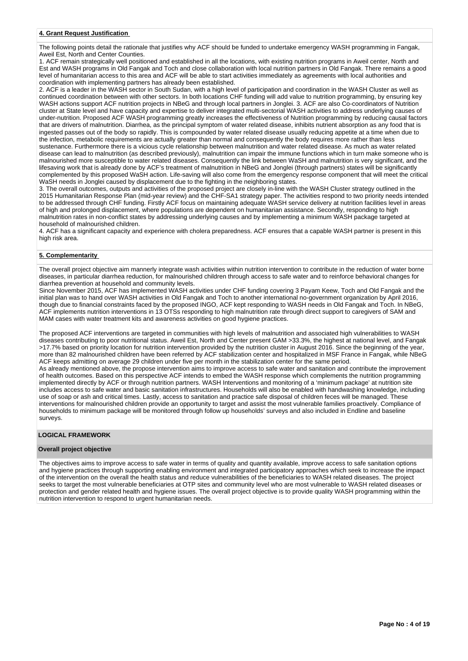#### **4. Grant Request Justification**

The following points detail the rationale that justifies why ACF should be funded to undertake emergency WASH programming in Fangak, Aweil Est, North and Center Counties.

1. ACF remain strategically well positioned and established in all the locations, with existing nutrition programs in Aweil center, North and Est and WASH programs in Old Fangak and Toch and close collaboration with local nutrition partners in Old Fangak. There remains a good level of humanitarian access to this area and ACF will be able to start activities immediately as agreements with local authorities and coordination with implementing partners has already been established.

2. ACF is a leader in the WASH sector in South Sudan, with a high level of participation and coordination in the WASH Cluster as well as continued coordination between with other sectors. In both locations CHF funding will add value to nutrition programming, by ensuring key WASH actions support ACF nutrition projects in NBeG and through local partners in Jonglei. 3. ACF are also Co-coordinators of Nutrition cluster at State level and have capacity and expertise to deliver integrated multi-sectorial WASH activities to address underlying causes of under-nutrition. Proposed ACF WASH programming greatly increases the effectiveness of Nutrition programming by reducing causal factors that are drivers of malnutrition. Diarrhea, as the principal symptom of water related disease, inhibits nutrient absorption as any food that is ingested passes out of the body so rapidly. This is compounded by water related disease usually reducing appetite at a time when due to the infection, metabolic requirements are actually greater than normal and consequently the body requires more rather than less sustenance. Furthermore there is a vicious cycle relationship between malnutrition and water related disease. As much as water related disease can lead to malnutrition (as described previously), malnutrition can impair the immune functions which in turn make someone who is malnourished more susceptible to water related diseases. Consequently the link between WaSH and malnutrition is very significant, and the lifesaving work that is already done by ACF's treatment of malnutrition in NBeG and Jonglei (through partners) states will be significantly complemented by this proposed WaSH action. Life-saving will also come from the emergency response component that will meet the critical WaSH needs in Jonglei caused by displacement due to the fighting in the neighboring states.

3. The overall outcomes, outputs and activities of the proposed project are closely in-line with the WASH Cluster strategy outlined in the 2015 Humanitarian Response Plan (mid-year review) and the CHF-SA1 strategy paper. The activities respond to two priority needs intended to be addressed through CHF funding. Firstly ACF focus on maintaining adequate WASH service delivery at nutrition facilities level in areas of high and prolonged displacement, where populations are dependent on humanitarian assistance. Secondly, responding to high malnutrition rates in non-conflict states by addressing underlying causes and by implementing a minimum WASH package targeted at household of malnourished children.

4. ACF has a significant capacity and experience with cholera preparedness. ACF ensures that a capable WASH partner is present in this high risk area.

#### **5. Complementarity**

The overall project objective aim mannerly integrate wash activities within nutrition intervention to contribute in the reduction of water borne diseases, in particular diarrhea reduction, for malnourished children through access to safe water and to reinforce behavioral changes for diarrhea prevention at household and community levels.

Since November 2015, ACF has implemented WASH activities under CHF funding covering 3 Payam Keew, Toch and Old Fangak and the initial plan was to hand over WASH activities in Old Fangak and Toch to another international no-government organization by April 2016, though due to financial constraints faced by the proposed INGO, ACF kept responding to WASH needs in Old Fangak and Toch. In NBeG, ACF implements nutrition interventions in 13 OTSs responding to high malnutrition rate through direct support to caregivers of SAM and MAM cases with water treatment kits and awareness activities on good hygiene practices.

The proposed ACF interventions are targeted in communities with high levels of malnutrition and associated high vulnerabilities to WASH diseases contributing to poor nutritional status. Aweil Est, North and Center present GAM >33.3%, the highest at national level, and Fangak >17.7% based on priority location for nutrition intervention provided by the nutrition cluster in August 2016. Since the beginning of the year, more than 82 malnourished children have been referred by ACF stabilization center and hospitalized in MSF France in Fangak, while NBeG ACF keeps admitting on average 29 children under five per month in the stabilization center for the same period.

As already mentioned above, the propose intervention aims to improve access to safe water and sanitation and contribute the improvement of health outcomes. Based on this perspective ACF intends to embed the WASH response which complements the nutrition programming implemented directly by ACF or through nutrition partners. WASH Interventions and monitoring of a 'minimum package' at nutrition site includes access to safe water and basic sanitation infrastructures. Households will also be enabled with handwashing knowledge, including use of soap or ash and critical times. Lastly, access to sanitation and practice safe disposal of children feces will be managed. These interventions for malnourished children provide an opportunity to target and assist the most vulnerable families proactively. Compliance of households to minimum package will be monitored through follow up households' surveys and also included in Endline and baseline surveys.

## **LOGICAL FRAMEWORK**

#### **Overall project objective**

The objectives aims to improve access to safe water in terms of quality and quantity available, improve access to safe sanitation options and hygiene practices through supporting enabling environment and integrated participatory approaches which seek to increase the impact of the intervention on the overall the health status and reduce vulnerabilities of the beneficiaries to WASH related diseases. The project seeks to target the most vulnerable beneficiaries at OTP sites and community level who are most vulnerable to WASH related diseases or protection and gender related health and hygiene issues. The overall project objective is to provide quality WASH programming within the nutrition intervention to respond to urgent humanitarian needs.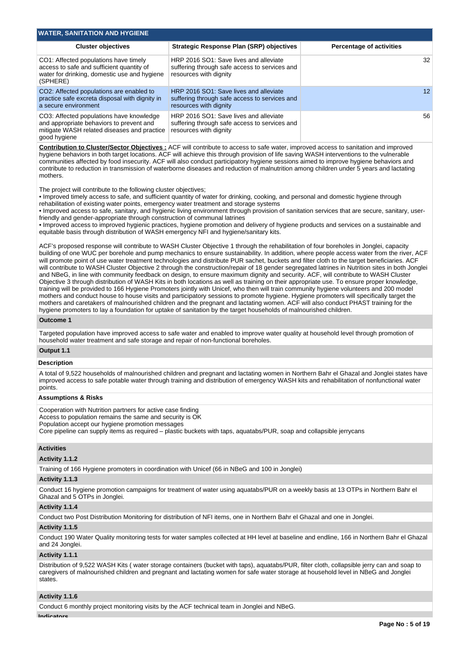| <b>WATER, SANITATION AND HYGIENE</b>                                                                                                                |                                                                                                                   |                                 |
|-----------------------------------------------------------------------------------------------------------------------------------------------------|-------------------------------------------------------------------------------------------------------------------|---------------------------------|
| <b>Cluster objectives</b>                                                                                                                           | <b>Strategic Response Plan (SRP) objectives</b>                                                                   | <b>Percentage of activities</b> |
| CO1: Affected populations have timely<br>access to safe and sufficient quantity of<br>water for drinking, domestic use and hygiene<br>(SPHERE)      | HRP 2016 SO1: Save lives and alleviate<br>suffering through safe access to services and<br>resources with dignity | 32                              |
| CO2: Affected populations are enabled to<br>practice safe excreta disposal with dignity in<br>a secure environment                                  | HRP 2016 SO1: Save lives and alleviate<br>suffering through safe access to services and<br>resources with dignity | 12.                             |
| CO3: Affected populations have knowledge<br>and appropriate behaviors to prevent and<br>mitigate WASH related diseases and practice<br>good hygiene | HRP 2016 SO1: Save lives and alleviate<br>suffering through safe access to services and<br>resources with dignity | 56                              |

**Contribution to Cluster/Sector Objectives :** ACF will contribute to access to safe water, improved access to sanitation and improved hygiene behaviors in both target locations. ACF will achieve this through provision of life saving WASH interventions to the vulnerable communities affected by food insecurity. ACF will also conduct participatory hygiene sessions aimed to improve hygiene behaviors and contribute to reduction in transmission of waterborne diseases and reduction of malnutrition among children under 5 years and lactating mothers.

The project will contribute to the following cluster objectives;

• Improved timely access to safe, and sufficient quantity of water for drinking, cooking, and personal and domestic hygiene through rehabilitation of existing water points, emergency water treatment and storage systems

• Improved access to safe, sanitary, and hygienic living environment through provision of sanitation services that are secure, sanitary, userfriendly and gender-appropriate through construction of communal latrines

• Improved access to improved hygienic practices, hygiene promotion and delivery of hygiene products and services on a sustainable and equitable basis through distribution of WASH emergency NFI and hygiene/sanitary kits.

ACF's proposed response will contribute to WASH Cluster Objective 1 through the rehabilitation of four boreholes in Jonglei, capacity building of one WUC per borehole and pump mechanics to ensure sustainability. In addition, where people access water from the river, ACF will promote point of use water treatment technologies and distribute PUR sachet, buckets and filter cloth to the target beneficiaries. ACF will contribute to WASH Cluster Objective 2 through the construction/repair of 18 gender segregated latrines in Nutrition sites in both Jonglei and NBeG, in line with community feedback on design, to ensure maximum dignity and security. ACF, will contribute to WASH Cluster Objective 3 through distribution of WASH Kits in both locations as well as training on their appropriate use. To ensure proper knowledge, training will be provided to 166 Hygiene Promoters jointly with Unicef, who then will train community hygiene volunteers and 200 model mothers and conduct house to house visits and participatory sessions to promote hygiene. Hygiene promoters will specifically target the mothers and caretakers of malnourished children and the pregnant and lactating women. ACF will also conduct PHAST training for the hygiene promoters to lay a foundation for uptake of sanitation by the target households of malnourished children.

#### **Outcome 1**

Targeted population have improved access to safe water and enabled to improve water quality at household level through promotion of household water treatment and safe storage and repair of non-functional boreholes.

## **Output 1.1**

#### **Description**

A total of 9,522 households of malnourished children and pregnant and lactating women in Northern Bahr el Ghazal and Jonglei states have improved access to safe potable water through training and distribution of emergency WASH kits and rehabilitation of nonfunctional water points.

#### **Assumptions & Risks**

Cooperation with Nutrition partners for active case finding

Access to population remains the same and security is OK

Population accept our hygiene promotion messages

Core pipeline can supply items as required – plastic buckets with taps, aquatabs/PUR, soap and collapsible jerrycans

#### **Activities**

## **Activity 1.1.2**

Training of 166 Hygiene promoters in coordination with Unicef (66 in NBeG and 100 in Jonglei)

#### **Activity 1.1.3**

Conduct 16 hygiene promotion campaigns for treatment of water using aquatabs/PUR on a weekly basis at 13 OTPs in Northern Bahr el Ghazal and 5 OTPs in Jonglei.

#### **Activity 1.1.4**

Conduct two Post Distribution Monitoring for distribution of NFI items, one in Northern Bahr el Ghazal and one in Jonglei.

#### **Activity 1.1.5**

Conduct 190 Water Quality monitoring tests for water samples collected at HH level at baseline and endline, 166 in Northern Bahr el Ghazal and 24 Jonglei.

#### **Activity 1.1.1**

Distribution of 9,522 WASH Kits ( water storage containers (bucket with taps), aquatabs/PUR, filter cloth, collapsible jerry can and soap to caregivers of malnourished children and pregnant and lactating women for safe water storage at household level in NBeG and Jonglei states.

### **Activity 1.1.6**

Conduct 6 monthly project monitoring visits by the ACF technical team in Jonglei and NBeG.

**Indicators**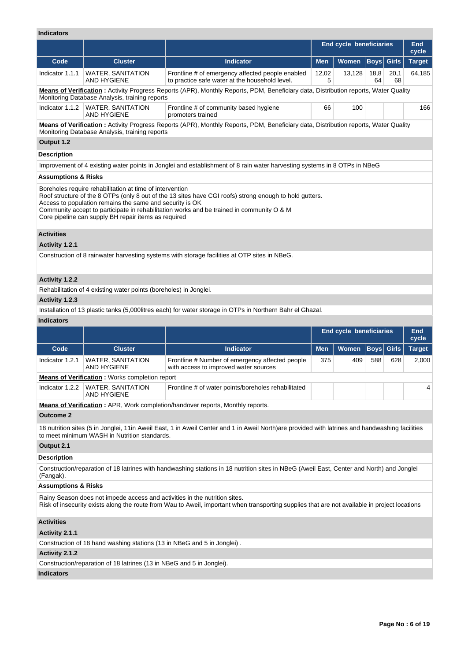# **Indicators**

| IIIulualui 3                   |                                                                                                                                                                              |                                                                                                                                                                                                      |                                |                     |                      |               |        |
|--------------------------------|------------------------------------------------------------------------------------------------------------------------------------------------------------------------------|------------------------------------------------------------------------------------------------------------------------------------------------------------------------------------------------------|--------------------------------|---------------------|----------------------|---------------|--------|
|                                |                                                                                                                                                                              |                                                                                                                                                                                                      | <b>End cycle beneficiaries</b> | <b>End</b><br>cycle |                      |               |        |
| Code                           | <b>Cluster</b>                                                                                                                                                               | <b>Indicator</b>                                                                                                                                                                                     | <b>Men</b>                     | <b>Women</b>        | Girls<br><b>Boys</b> | <b>Target</b> |        |
| Indicator 1.1.1                | <b>WATER, SANITATION</b><br><b>AND HYGIENE</b>                                                                                                                               | Frontline # of emergency affected people enabled<br>to practice safe water at the household level.                                                                                                   | 12,02<br>5                     | 13,128              | 18,8<br>64           | 20,1<br>68    | 64,185 |
|                                | Monitoring Database Analysis, training reports                                                                                                                               | Means of Verification: Activity Progress Reports (APR), Monthly Reports, PDM, Beneficiary data, Distribution reports, Water Quality                                                                  |                                |                     |                      |               |        |
| Indicator 1.1.2                | <b>WATER, SANITATION</b><br><b>AND HYGIENE</b>                                                                                                                               | Frontline # of community based hygiene<br>promoters trained                                                                                                                                          | 66                             | 100                 |                      |               | 166    |
|                                | Monitoring Database Analysis, training reports                                                                                                                               | Means of Verification: Activity Progress Reports (APR), Monthly Reports, PDM, Beneficiary data, Distribution reports, Water Quality                                                                  |                                |                     |                      |               |        |
| Output 1.2                     |                                                                                                                                                                              |                                                                                                                                                                                                      |                                |                     |                      |               |        |
| <b>Description</b>             |                                                                                                                                                                              |                                                                                                                                                                                                      |                                |                     |                      |               |        |
|                                |                                                                                                                                                                              | Improvement of 4 existing water points in Jonglei and establishment of 8 rain water harvesting systems in 8 OTPs in NBeG                                                                             |                                |                     |                      |               |        |
| <b>Assumptions &amp; Risks</b> |                                                                                                                                                                              |                                                                                                                                                                                                      |                                |                     |                      |               |        |
|                                | Boreholes require rehabilitation at time of intervention<br>Access to population remains the same and security is OK<br>Core pipeline can supply BH repair items as required | Roof structure of the 8 OTPs (only 8 out of the 13 sites have CGI roofs) strong enough to hold gutters.<br>Community accept to participate in rehabilitation works and be trained in community O & M |                                |                     |                      |               |        |
| <b>Activities</b>              |                                                                                                                                                                              |                                                                                                                                                                                                      |                                |                     |                      |               |        |
| Activity 1.2.1                 |                                                                                                                                                                              |                                                                                                                                                                                                      |                                |                     |                      |               |        |
|                                |                                                                                                                                                                              | Construction of 8 rainwater harvesting systems with storage facilities at OTP sites in NBeG.                                                                                                         |                                |                     |                      |               |        |
| Activity 1.2.2                 |                                                                                                                                                                              |                                                                                                                                                                                                      |                                |                     |                      |               |        |
|                                | Rehabilitation of 4 existing water points (boreholes) in Jonglei.                                                                                                            |                                                                                                                                                                                                      |                                |                     |                      |               |        |

## **Activity 1.2.3**

Installation of 13 plastic tanks (5,000litres each) for water storage in OTPs in Northern Bahr el Ghazal.

#### **Indicators**

|                                |                                                                            |                                                                                                                                                 | <b>End cycle beneficiaries</b> | End<br>cycle |  |                   |               |
|--------------------------------|----------------------------------------------------------------------------|-------------------------------------------------------------------------------------------------------------------------------------------------|--------------------------------|--------------|--|-------------------|---------------|
| Code                           | <b>Cluster</b>                                                             | <b>Indicator</b>                                                                                                                                | <b>Men</b>                     | <b>Women</b> |  | <b>Boys</b> Girls | <b>Target</b> |
| Indicator 1.2.1                | <b>WATER, SANITATION</b><br>AND HYGIENE                                    | Frontline # Number of emergency affected people<br>with access to improved water sources                                                        | 375                            | 409          |  | 628               | 2,000         |
|                                | <b>Means of Verification:</b> Works completion report                      |                                                                                                                                                 |                                |              |  |                   |               |
| Indicator 1.2.2                | <b>WATER, SANITATION</b><br><b>AND HYGIENE</b>                             | Frontline # of water points/boreholes rehabilitated                                                                                             |                                |              |  |                   |               |
|                                |                                                                            | <b>Means of Verification:</b> APR, Work completion/handover reports, Monthly reports.                                                           |                                |              |  |                   |               |
| <b>Outcome 2</b>               |                                                                            |                                                                                                                                                 |                                |              |  |                   |               |
|                                | to meet minimum WASH in Nutrition standards.                               | 18 nutrition sites (5 in Jonglei, 11in Aweil East, 1 in Aweil Center and 1 in Aweil North)are provided with latrines and handwashing facilities |                                |              |  |                   |               |
| Output 2.1                     |                                                                            |                                                                                                                                                 |                                |              |  |                   |               |
| <b>Description</b>             |                                                                            |                                                                                                                                                 |                                |              |  |                   |               |
| (Fangak).                      |                                                                            | Construction/reparation of 18 latrines with handwashing stations in 18 nutrition sites in NBeG (Aweil East, Center and North) and Jonglei       |                                |              |  |                   |               |
| <b>Assumptions &amp; Risks</b> |                                                                            |                                                                                                                                                 |                                |              |  |                   |               |
|                                | Rainy Season does not impede access and activities in the nutrition sites. | Risk of insecurity exists along the route from Wau to Aweil, important when transporting supplies that are not available in project locations   |                                |              |  |                   |               |
| <b>Activities</b>              |                                                                            |                                                                                                                                                 |                                |              |  |                   |               |

## **Activity 2.1.1**

Construction of 18 hand washing stations (13 in NBeG and 5 in Jonglei) .

## **Activity 2.1.2**

Construction/reparation of 18 latrines (13 in NBeG and 5 in Jonglei).

# **Indicators**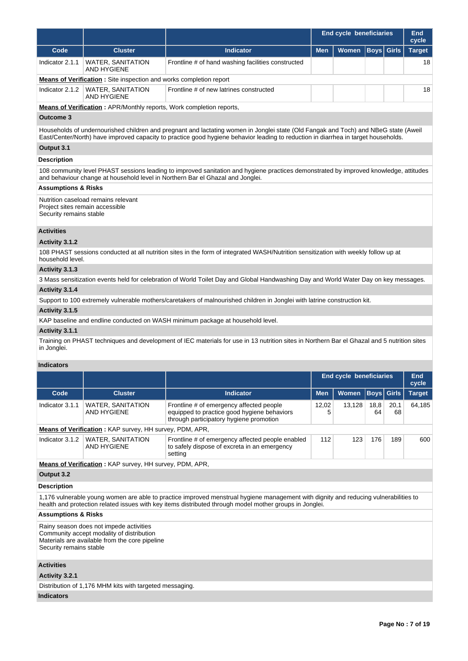|                 |                                                                             |                                                    | <b>End cycle beneficiaries</b> | End<br>cycle         |  |               |
|-----------------|-----------------------------------------------------------------------------|----------------------------------------------------|--------------------------------|----------------------|--|---------------|
| Code            | <b>Cluster</b>                                                              | <b>Indicator</b>                                   | <b>Men</b>                     | Women   Boys   Girls |  | <b>Target</b> |
| Indicator 2.1.1 | <b>WATER, SANITATION</b><br>AND HYGIENE                                     | Frontline # of hand washing facilities constructed |                                |                      |  | 18            |
|                 | <b>Means of Verification:</b> Site inspection and works completion report   |                                                    |                                |                      |  |               |
| Indicator 2.1.2 | <b>WATER, SANITATION</b><br>AND HYGIENE                                     | Frontline # of new latrines constructed            |                                |                      |  | 18            |
|                 | <b>Means of Verification:</b> APR/Monthly reports, Work completion reports, |                                                    |                                |                      |  |               |

#### **Outcome 3**

Households of undernourished children and pregnant and lactating women in Jonglei state (Old Fangak and Toch) and NBeG state (Aweil East/Center/North) have improved capacity to practice good hygiene behavior leading to reduction in diarrhea in target households.

## **Output 3.1**

## **Description**

108 community level PHAST sessions leading to improved sanitation and hygiene practices demonstrated by improved knowledge, attitudes and behaviour change at household level in Northern Bar el Ghazal and Jonglei.

### **Assumptions & Risks**

Nutrition caseload remains relevant Project sites remain accessible Security remains stable

#### **Activities**

#### **Activity 3.1.2**

108 PHAST sessions conducted at all nutrition sites in the form of integrated WASH/Nutrition sensitization with weekly follow up at household level.

#### **Activity 3.1.3**

3 Mass sensitization events held for celebration of World Toilet Day and Global Handwashing Day and World Water Day on key messages. **Activity 3.1.4** 

## Support to 100 extremely vulnerable mothers/caretakers of malnourished children in Jonglei with latrine construction kit.

#### **Activity 3.1.5**

KAP baseline and endline conducted on WASH minimum package at household level.

#### **Activity 3.1.1**

Training on PHAST techniques and development of IEC materials for use in 13 nutrition sites in Northern Bar el Ghazal and 5 nutrition sites in Jonglei.

#### **Indicators**

|                 |                                                                |                                                                                                                                             | <b>End cycle beneficiaries</b> | End<br>cycle |            |                   |               |
|-----------------|----------------------------------------------------------------|---------------------------------------------------------------------------------------------------------------------------------------------|--------------------------------|--------------|------------|-------------------|---------------|
| Code            | <b>Cluster</b>                                                 | Indicator                                                                                                                                   | <b>Men</b>                     | <b>Women</b> |            | <b>Boys</b> Girls | <b>Target</b> |
| Indicator 3.1.1 | <b>WATER, SANITATION</b><br>AND HYGIENE                        | Frontline # of emergency affected people<br>12.02<br>equipped to practice good hygiene behaviors<br>through participatory hygiene promotion |                                | 13.128       | 18,8<br>64 | 20,1<br>68        | 64.185        |
|                 | <b>Means of Verification:</b> KAP survey, HH survey, PDM, APR, |                                                                                                                                             |                                |              |            |                   |               |
| Indicator 3.1.2 | WATER, SANITATION<br>AND HYGIENE                               | Frontline # of emergency affected people enabled<br>to safely dispose of excreta in an emergency<br>setting                                 | 112                            | 123          | 176        | 189               | 600           |
|                 | <b>Means of Verification:</b> KAP survey, HH survey, PDM, APR, |                                                                                                                                             |                                |              |            |                   |               |

## **Output 3.2**

### **Description**

1,176 vulnerable young women are able to practice improved menstrual hygiene management with dignity and reducing vulnerabilities to health and protection related issues with key items distributed through model mother groups in Jonglei.

#### **Assumptions & Risks**

Rainy season does not impede activities Community accept modality of distribution Materials are available from the core pipeline Security remains stable

## **Activities**

**Activity 3.2.1** 

Distribution of 1,176 MHM kits with targeted messaging.

## **Indicators**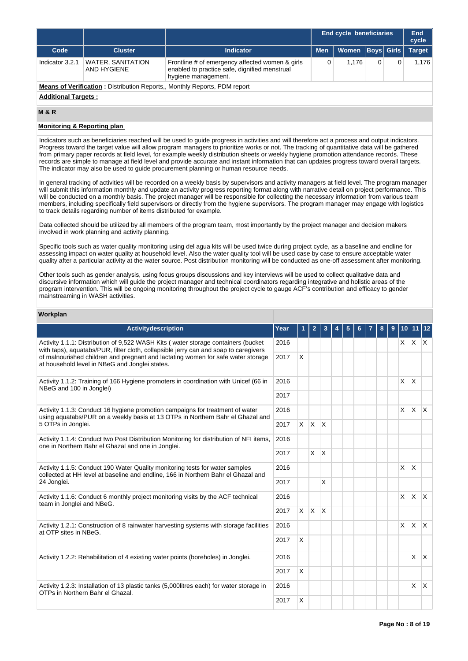|                            |                                         |                                                                                                                         |            | <b>End cycle beneficiaries</b> |                   |  |               |  |  |
|----------------------------|-----------------------------------------|-------------------------------------------------------------------------------------------------------------------------|------------|--------------------------------|-------------------|--|---------------|--|--|
| Code                       | <b>Cluster</b>                          | <b>Indicator</b>                                                                                                        | <b>Men</b> | Women                          | <b>Boys</b> Girls |  | <b>Target</b> |  |  |
| Indicator 3.2.1            | <b>WATER, SANITATION</b><br>AND HYGIENE | Frontline # of emergency affected women & girls<br>enabled to practice safe, dignified menstrual<br>hygiene management. | 0          | 1.176                          |                   |  | 1.176         |  |  |
|                            |                                         | <b>Means of Verification:</b> Distribution Reports., Monthly Reports, PDM report                                        |            |                                |                   |  |               |  |  |
| <b>Additional Targets:</b> |                                         |                                                                                                                         |            |                                |                   |  |               |  |  |

### **M & R**

### **Monitoring & Reporting plan**

Indicators such as beneficiaries reached will be used to guide progress in activities and will therefore act a process and output indicators. Progress toward the target value will allow program managers to prioritize works or not. The tracking of quantitative data will be gathered from primary paper records at field level, for example weekly distribution sheets or weekly hygiene promotion attendance records. These records are simple to manage at field level and provide accurate and instant information that can updates progress toward overall targets. The indicator may also be used to guide procurement planning or human resource needs.

In general tracking of activities will be recorded on a weekly basis by supervisors and activity managers at field level. The program manager will submit this information monthly and update an activity progress reporting format along with narrative detail on project performance. This will be conducted on a monthly basis. The project manager will be responsible for collecting the necessary information from various team members, including specifically field supervisors or directly from the hygiene supervisors. The program manager may engage with logistics to track details regarding number of items distributed for example.

Data collected should be utilized by all members of the program team, most importantly by the project manager and decision makers involved in work planning and activity planning.

Specific tools such as water quality monitoring using del agua kits will be used twice during project cycle, as a baseline and endline for assessing impact on water quality at household level. Also the water quality tool will be used case by case to ensure acceptable water quality after a particular activity at the water source. Post distribution monitoring will be conducted as one-off assessment after monitoring.

Other tools such as gender analysis, using focus groups discussions and key interviews will be used to collect qualitative data and discursive information which will guide the project manager and technical coordinators regarding integrative and holistic areas of the program intervention. This will be ongoing monitoring throughout the project cycle to gauge ACF's contribution and efficacy to gender mainstreaming in WASH activities.

## **Workplan**

| <b>Activitydescription</b>                                                                                                                                                | Year |              | 2                       |              |  |  |  |  | 8 | 9 |          | 10 11 12          |              |
|---------------------------------------------------------------------------------------------------------------------------------------------------------------------------|------|--------------|-------------------------|--------------|--|--|--|--|---|---|----------|-------------------|--------------|
| Activity 1.1.1: Distribution of 9,522 WASH Kits (water storage containers (bucket<br>with taps), aquatabs/PUR, filter cloth, collapsible jerry can and soap to caregivers | 2016 |              |                         |              |  |  |  |  |   |   |          | $x \mid x \mid x$ |              |
| of malnourished children and pregnant and lactating women for safe water storage<br>at household level in NBeG and Jonglei states.                                        | 2017 | X            |                         |              |  |  |  |  |   |   |          |                   |              |
| Activity 1.1.2: Training of 166 Hygiene promoters in coordination with Unicef (66 in<br>NBeG and 100 in Jonglei)                                                          | 2016 |              |                         |              |  |  |  |  |   |   | X        | X                 |              |
|                                                                                                                                                                           |      |              |                         |              |  |  |  |  |   |   |          |                   |              |
| Activity 1.1.3: Conduct 16 hygiene promotion campaigns for treatment of water<br>using aquatabs/PUR on a weekly basis at 13 OTPs in Northern Bahr el Ghazal and           | 2016 |              |                         |              |  |  |  |  |   |   | $\times$ | $\mathsf{X}$      | $\mathsf{X}$ |
| 5 OTPs in Jonglei.                                                                                                                                                        | 2017 | $\times$     | $\mathsf{X} \mathsf{X}$ |              |  |  |  |  |   |   |          |                   |              |
| Activity 1.1.4: Conduct two Post Distribution Monitoring for distribution of NFI items,<br>one in Northern Bahr el Ghazal and one in Jonglei.                             | 2016 |              |                         |              |  |  |  |  |   |   |          |                   |              |
|                                                                                                                                                                           | 2017 |              | $\mathsf{X}$            | $\mathsf{X}$ |  |  |  |  |   |   |          |                   |              |
| Activity 1.1.5: Conduct 190 Water Quality monitoring tests for water samples<br>collected at HH level at baseline and endline, 166 in Northern Bahr el Ghazal and         | 2016 |              |                         |              |  |  |  |  |   |   | X        | $\mathsf{X}$      |              |
| 24 Jonglei.                                                                                                                                                               | 2017 |              |                         | X            |  |  |  |  |   |   |          |                   |              |
| Activity 1.1.6: Conduct 6 monthly project monitoring visits by the ACF technical<br>team in Jonglei and NBeG.                                                             | 2016 |              |                         |              |  |  |  |  |   |   | $\times$ | X                 | $\mathsf{X}$ |
|                                                                                                                                                                           | 2017 | $\mathsf{X}$ | <b>X</b>                | ΙX.          |  |  |  |  |   |   |          |                   |              |
| Activity 1.2.1: Construction of 8 rainwater harvesting systems with storage facilities<br>at OTP sites in NBeG.                                                           | 2016 |              |                         |              |  |  |  |  |   |   | $\times$ | ΙX.               | $\mathsf{X}$ |
|                                                                                                                                                                           | 2017 | $\mathsf{x}$ |                         |              |  |  |  |  |   |   |          |                   |              |
| Activity 1.2.2: Rehabilitation of 4 existing water points (boreholes) in Jonglei.                                                                                         | 2016 |              |                         |              |  |  |  |  |   |   |          | $\times$          | $\mathsf{X}$ |
|                                                                                                                                                                           | 2017 | X            |                         |              |  |  |  |  |   |   |          |                   |              |
| Activity 1.2.3: Installation of 13 plastic tanks (5,000 litres each) for water storage in<br>OTPs in Northern Bahr el Ghazal.                                             | 2016 |              |                         |              |  |  |  |  |   |   |          | X                 | ΙX.          |
|                                                                                                                                                                           | 2017 | X            |                         |              |  |  |  |  |   |   |          |                   |              |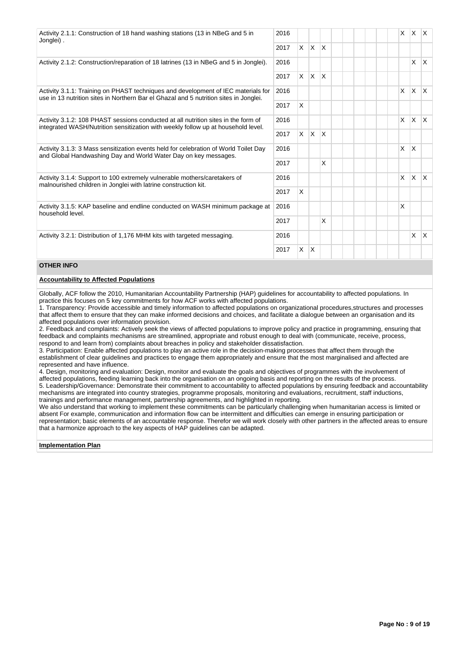| Activity 2.1.1: Construction of 18 hand washing stations (13 in NBeG and 5 in<br>Jonglei).                                                                                 | 2016 |          |              |              |  |  | X        | <b>X</b>     | $\mathsf{X}$ |
|----------------------------------------------------------------------------------------------------------------------------------------------------------------------------|------|----------|--------------|--------------|--|--|----------|--------------|--------------|
|                                                                                                                                                                            | 2017 | $\times$ | $\mathsf{X}$ | $\mathsf{X}$ |  |  |          |              |              |
| Activity 2.1.2: Construction/reparation of 18 latrines (13 in NBeG and 5 in Jonglei).                                                                                      | 2016 |          |              |              |  |  |          | $\times$     | X.           |
|                                                                                                                                                                            | 2017 |          | $X \mid X$   | ΙX.          |  |  |          |              |              |
| Activity 3.1.1: Training on PHAST techniques and development of IEC materials for<br>use in 13 nutrition sites in Northern Bar el Ghazal and 5 nutrition sites in Jonglei. | 2016 |          |              |              |  |  | X        | <b>X</b>     | <b>X</b>     |
|                                                                                                                                                                            | 2017 | X        |              |              |  |  |          |              |              |
| Activity 3.1.2: 108 PHAST sessions conducted at all nutrition sites in the form of<br>integrated WASH/Nutrition sensitization with weekly follow up at household level.    | 2016 |          |              |              |  |  | $\times$ | $\mathsf{X}$ | ΙX.          |
|                                                                                                                                                                            | 2017 | $\times$ | $\mathsf{X}$ | ΙX           |  |  |          |              |              |
| Activity 3.1.3: 3 Mass sensitization events held for celebration of World Toilet Day<br>and Global Handwashing Day and World Water Day on key messages.                    | 2016 |          |              |              |  |  | X        | X            |              |
|                                                                                                                                                                            | 2017 |          |              | X            |  |  |          |              |              |
| Activity 3.1.4: Support to 100 extremely vulnerable mothers/caretakers of<br>malnourished children in Jonglei with latrine construction kit.                               | 2016 |          |              |              |  |  | X        | <b>X</b>     | <b>X</b>     |
|                                                                                                                                                                            | 2017 | X        |              |              |  |  |          |              |              |
| Activity 3.1.5: KAP baseline and endline conducted on WASH minimum package at<br>household level.                                                                          | 2016 |          |              |              |  |  | X        |              |              |
|                                                                                                                                                                            | 2017 |          |              | X            |  |  |          |              |              |
| Activity 3.2.1: Distribution of 1,176 MHM kits with targeted messaging.                                                                                                    | 2016 |          |              |              |  |  |          | X            | <b>X</b>     |
|                                                                                                                                                                            | 2017 | $\times$ | $\mathsf{X}$ |              |  |  |          |              |              |

## **OTHER INFO**

## **Accountability to Affected Populations**

Globally, ACF follow the 2010, Humanitarian Accountability Partnership (HAP) guidelines for accountability to affected populations. In practice this focuses on 5 key commitments for how ACF works with affected populations.

1. Transparency: Provide accessible and timely information to affected populations on organizational procedures,structures and processes that affect them to ensure that they can make informed decisions and choices, and facilitate a dialogue between an organisation and its affected populations over information provision.

2. Feedback and complaints: Actively seek the views of affected populations to improve policy and practice in programming, ensuring that feedback and complaints mechanisms are streamlined, appropriate and robust enough to deal with (communicate, receive, process, respond to and learn from) complaints about breaches in policy and stakeholder dissatisfaction.

3. Participation: Enable affected populations to play an active role in the decision-making processes that affect them through the establishment of clear guidelines and practices to engage them appropriately and ensure that the most marginalised and affected are represented and have influence.

4. Design, monitoring and evaluation: Design, monitor and evaluate the goals and objectives of programmes with the involvement of affected populations, feeding learning back into the organisation on an ongoing basis and reporting on the results of the process. 5. Leadership/Governance: Demonstrate their commitment to accountability to affected populations by ensuring feedback and accountability mechanisms are integrated into country strategies, programme proposals, monitoring and evaluations, recruitment, staff inductions, trainings and performance management, partnership agreements, and highlighted in reporting.

We also understand that working to implement these commitments can be particularly challenging when humanitarian access is limited or absent For example, communication and information flow can be intermittent and difficulties can emerge in ensuring participation or representation; basic elements of an accountable response. Therefor we will work closely with other partners in the affected areas to ensure that a harmonize approach to the key aspects of HAP guidelines can be adapted.

## **Implementation Plan**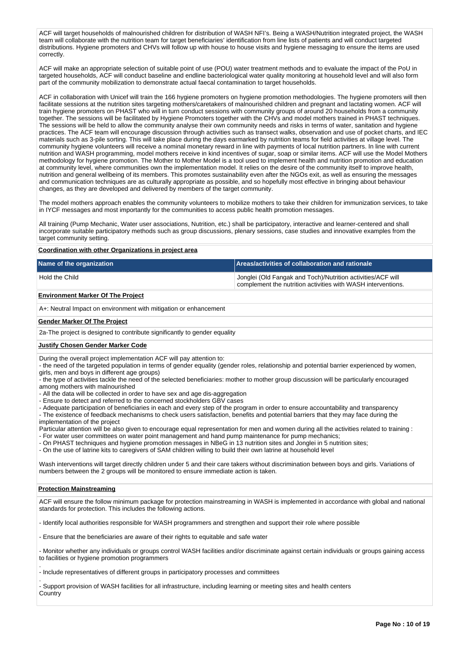ACF will target households of malnourished children for distribution of WASH NFI's. Being a WASH/Nutrition integrated project, the WASH team will collaborate with the nutrition team for target beneficiaries' identification from line lists of patients and will conduct targeted distributions. Hygiene promoters and CHVs will follow up with house to house visits and hygiene messaging to ensure the items are used correctly.

ACF will make an appropriate selection of suitable point of use (POU) water treatment methods and to evaluate the impact of the PoU in targeted households, ACF will conduct baseline and endline bacteriological water quality monitoring at household level and will also form part of the community mobilization to demonstrate actual faecal contamination to target households.

ACF in collaboration with Unicef will train the 166 hygiene promoters on hygiene promotion methodologies. The hygiene promoters will then facilitate sessions at the nutrition sites targeting mothers/caretakers of malnourished children and pregnant and lactating women. ACF will train hygiene promoters on PHAST who will in turn conduct sessions with community groups of around 20 households from a community together. The sessions will be facilitated by Hygiene Promoters together with the CHVs and model mothers trained in PHAST techniques. The sessions will be held to allow the community analyse their own community needs and risks in terms of water, sanitation and hygiene practices. The ACF team will encourage discussion through activities such as transect walks, observation and use of pocket charts, and IEC materials such as 3-pile sorting. This will take place during the days earmarked by nutrition teams for field activities at village level. The community hygiene volunteers will receive a nominal monetary reward in line with payments of local nutrition partners. In line with current nutrition and WASH programming, model mothers receive in kind incentives of sugar, soap or similar items. ACF will use the Model Mothers methodology for hygiene promotion. The Mother to Mother Model is a tool used to implement health and nutrition promotion and education at community level, where communities own the implementation model. It relies on the desire of the community itself to improve health, nutrition and general wellbeing of its members. This promotes sustainability even after the NGOs exit, as well as ensuring the messages and communication techniques are as culturally appropriate as possible, and so hopefully most effective in bringing about behaviour changes, as they are developed and delivered by members of the target community.

The model mothers approach enables the community volunteers to mobilize mothers to take their children for immunization services, to take in IYCF messages and most importantly for the communities to access public health promotion messages.

All training (Pump Mechanic, Water user associations, Nutrition, etc.) shall be participatory, interactive and learner-centered and shall incorporate suitable participatory methods such as group discussions, plenary sessions, case studies and innovative examples from the target community setting.

**Coordination with other Organizations in project area**

| Name of the organization | <b>Areas/activities of collaboration and rationale</b>                                                                      |
|--------------------------|-----------------------------------------------------------------------------------------------------------------------------|
| Hold the Child           | Jonglei (Old Fangak and Toch)/Nutrition activities/ACF will<br>complement the nutrition activities with WASH interventions. |

## **Environment Marker Of The Project**

A+: Neutral Impact on environment with mitigation or enhancement

#### **Gender Marker Of The Project**

2a-The project is designed to contribute significantly to gender equality

#### **Justify Chosen Gender Marker Code**

During the overall project implementation ACF will pay attention to:

- the need of the targeted population in terms of gender equality (gender roles, relationship and potential barrier experienced by women, girls, men and boys in different age groups)

- the type of activities tackle the need of the selected beneficiaries: mother to mother group discussion will be particularly encouraged among mothers with malnourished
- All the data will be collected in order to have sex and age dis-aggregation

- Ensure to detect and referred to the concerned stockholders GBV cases

- Adequate participation of beneficiaries in each and every step of the program in order to ensure accountability and transparency

- The existence of feedback mechanisms to check users satisfaction, benefits and potential barriers that they may face during the implementation of the project

Particular attention will be also given to encourage equal representation for men and women during all the activities related to training : - For water user committees on water point management and hand pump maintenance for pump mechanics;

- On PHAST techniques and hygiene promotion messages in NBeG in 13 nutrition sites and Jonglei in 5 nutrition sites;

- On the use of latrine kits to caregivers of SAM children willing to build their own latrine at household level

Wash interventions will target directly children under 5 and their care takers without discrimination between boys and girls. Variations of numbers between the 2 groups will be monitored to ensure immediate action is taken.

#### **Protection Mainstreaming**

.

.

ACF will ensure the follow minimum package for protection mainstreaming in WASH is implemented in accordance with global and national standards for protection. This includes the following actions.

- Identify local authorities responsible for WASH programmers and strengthen and support their role where possible

- Ensure that the beneficiaries are aware of their rights to equitable and safe water

- Monitor whether any individuals or groups control WASH facilities and/or discriminate against certain individuals or groups gaining access to facilities or hygiene promotion programmers

- Include representatives of different groups in participatory processes and committees

- Support provision of WASH facilities for all infrastructure, including learning or meeting sites and health centers **Country**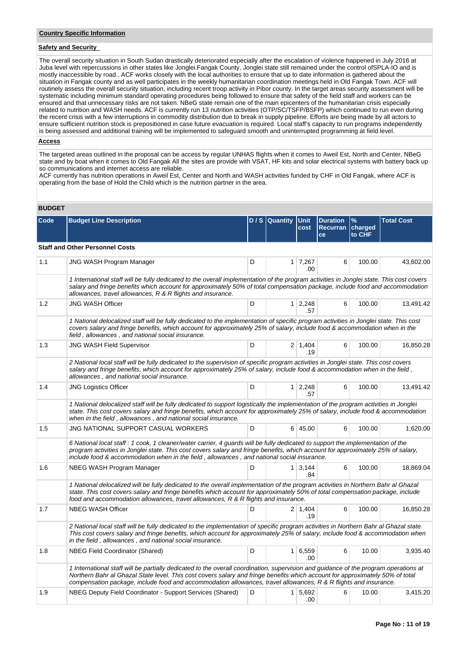## **Safety and Security**

The overall security situation in South Sudan drastically deteriorated especially after the escalation of violence happened in July 2016 at Juba level with repercussions in other states like Jonglei.Fangak County, Jonglei state still remained under the control ofSPLA-IO and is mostly inaccessible by road.. ACF works closely with the local authorities to ensure that up to date information is gathered about the situation in Fangak county and as well participates in the weekly humanitarian coordination meetings held in Old Fangak Town. ACF will routinely assess the overall security situation, including recent troop activity in Pibor county. In the target areas security assessment will be systematic including minimum standard operating procedures being followed to ensure that safety of the field staff and workers can be ensured and that unnecessary risks are not taken. NBeG state remain one of the main epicenters of the humanitarian crisis especially related to nutrition and WASH needs. ACF is currently run 13 nutrition activities (OTP/SC/TSFP/BSFP) which continued to run even during the recent crisis with a few interruptions in commodity distribution due to break in supply pipeline. Efforts are being made by all actors to ensure sufficient nutrition stock is prepositioned in case future evacuation is required. Local staff's capacity to run programs independently is being assessed and additional training will be implemented to safeguard smooth and uninterrupted programming at field level.

### **Access**

The targeted areas outlined in the proposal can be access by regular UNHAS flights when it comes to Aweil Est, North and Center, NBeG state and by boat when it comes to Old Fangak All the sites are provide with VSAT, HF kits and solar electrical systems with battery back up so communications and internet access are reliable.

ACF currently has nutrition operations in Aweil Est, Center and North and WASH activities funded by CHF in Old Fangak, where ACF is operating from the base of Hold the Child which is the nutrition partner in the area.

### **BUDGET**

| Code | <b>Budget Line Description</b>                                                                                                                                                                                                                                                                                                                                                            |   | $D / S  $ Quantity | <b>Unit</b><br>cost         | <b>Duration</b><br>Recurran   charged<br>ce | $\frac{9}{6}$<br>to CHF | <b>Total Cost</b> |
|------|-------------------------------------------------------------------------------------------------------------------------------------------------------------------------------------------------------------------------------------------------------------------------------------------------------------------------------------------------------------------------------------------|---|--------------------|-----------------------------|---------------------------------------------|-------------------------|-------------------|
|      | <b>Staff and Other Personnel Costs</b>                                                                                                                                                                                                                                                                                                                                                    |   |                    |                             |                                             |                         |                   |
| 1.1  | <b>JNG WASH Program Manager</b>                                                                                                                                                                                                                                                                                                                                                           | D |                    | $1 \overline{7,267}$<br>.00 | 6                                           | 100.00                  | 43,602.00         |
|      | 1 International staff will be fully dedicated to the overall implementation of the program activities in Jonglei state. This cost covers<br>salary and fringe benefits which account for approximately 50% of total compensation package, include food and accommodation<br>allowances, travel allowances, R & R flights and insurance.                                                   |   |                    |                             |                                             |                         |                   |
| 1.2  | <b>JNG WASH Officer</b>                                                                                                                                                                                                                                                                                                                                                                   | D |                    | 1 2,248<br>.57              | 6                                           | 100.00                  | 13,491.42         |
|      | 1 National delocalized staff will be fully dedicated to the implementation of specific program activities in Jonglei state. This cost<br>covers salary and fringe benefits, which account for approximately 25% of salary, include food & accommodation when in the<br>field, allowances, and national social insurance.                                                                  |   |                    |                             |                                             |                         |                   |
| 1.3  | <b>JNG WASH Field Supervisor</b>                                                                                                                                                                                                                                                                                                                                                          | D |                    | $2 \mid 1.404$<br>.19       | 6                                           | 100.00                  | 16,850.28         |
|      | 2 National local staff will be fully dedicated to the supervision of specific program activities in Jonglei state. This cost covers<br>salary and fringe benefits, which account for approximately 25% of salary, include food & accommodation when in the field,<br>allowances, and national social insurance.                                                                           |   |                    |                             |                                             |                         |                   |
| 1.4  | <b>JNG Logistics Officer</b>                                                                                                                                                                                                                                                                                                                                                              | D |                    | $1 \mid 2,248$<br>.57       | 6                                           | 100.00                  | 13,491.42         |
|      | 1 National delocalized staff will be fully dedicated to support logistically the implementation of the program activities in Jonglei<br>state. This cost covers salary and fringe benefits, which account for approximately 25% of salary, include food & accommodation<br>when in the field, allowances, and national social insurance.                                                  |   |                    |                             |                                             |                         |                   |
| 1.5  | JNG NATIONAL SUPPORT CASUAL WORKERS                                                                                                                                                                                                                                                                                                                                                       | D |                    | $6 \mid 45.00$              | 6                                           | 100.00                  | 1,620.00          |
|      | 6 National local staff : 1 cook, 1 cleaner/water carrier, 4 guards will be fully dedicated to support the implementation of the<br>program activities in Jonglei state. This cost covers salary and fringe benefits, which account for approximately 25% of salary,<br>include food & accommodation when in the field, allowances, and national social insurance.                         |   |                    |                             |                                             |                         |                   |
| 1.6  | NBEG WASH Program Manager                                                                                                                                                                                                                                                                                                                                                                 | D |                    | $1 \mid 3.144$<br>.84       | 6                                           | 100.00                  | 18,869.04         |
|      | 1 National delocalized will be fully dedicated to the overall implementation of the program activities in Northern Bahr al Ghazal<br>state. This cost covers salary and fringe benefits which account for approximately 50% of total compensation package, include<br>food and accommodation allowances, travel allowances, R & R flights and insurance.                                  |   |                    |                             |                                             |                         |                   |
| 1.7  | <b>NBEG WASH Officer</b>                                                                                                                                                                                                                                                                                                                                                                  | D |                    | $2 \mid 1,404$<br>.19       | 6                                           | 100.00                  | 16,850.28         |
|      | 2 National local staff will be fully dedicated to the implementation of specific program activities in Northern Bahr al Ghazal state.<br>This cost covers salary and fringe benefits, which account for approximately 25% of salary, include food & accommodation when<br>in the field, allowances, and national social insurance.                                                        |   |                    |                             |                                             |                         |                   |
| 1.8  | <b>NBEG Field Coordinator (Shared)</b>                                                                                                                                                                                                                                                                                                                                                    | D |                    | 1   6,559<br>.00            | 6                                           | 10.00                   | 3,935.40          |
|      | 1 International staff will be partially dedicated to the overall coordination, supervision and guidance of the program operations at<br>Northern Bahr al Ghazal State level. This cost covers salary and fringe benefits which account for approximately 50% of total<br>compensation package, include food and accommodation allowances, travel allowances, R & R flights and insurance. |   |                    |                             |                                             |                         |                   |
| 1.9  | NBEG Deputy Field Coordinator - Support Services (Shared)                                                                                                                                                                                                                                                                                                                                 | D |                    | $1 \mid 5.692$<br>.00       | 6                                           | 10.00                   | 3,415.20          |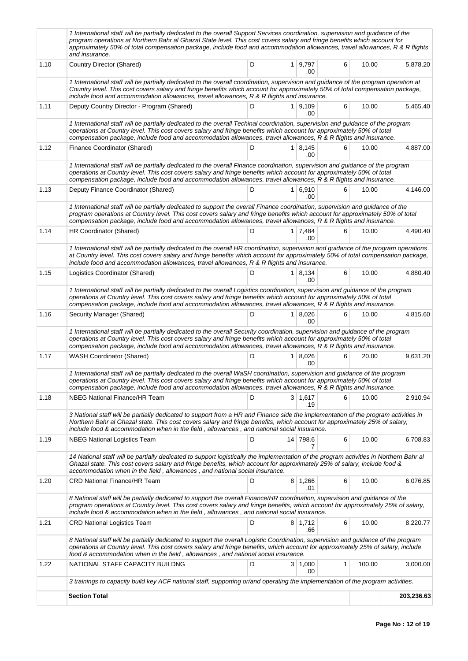|      | 1 International staff will be partially dedicated to the overall Support Services coordination, supervision and guidance of the<br>program operations at Northern Bahr al Ghazal State level. This cost covers salary and fringe benefits which account for<br>approximately 50% of total compensation package, include food and accommodation allowances, travel allowances, R & R flights<br>and insurance. |       |          |                             |   |        |            |  |  |  |  |  |
|------|---------------------------------------------------------------------------------------------------------------------------------------------------------------------------------------------------------------------------------------------------------------------------------------------------------------------------------------------------------------------------------------------------------------|-------|----------|-----------------------------|---|--------|------------|--|--|--|--|--|
| 1.10 | Country Director (Shared)                                                                                                                                                                                                                                                                                                                                                                                     | D     |          | $1 \mid 9,797$<br>.00       | 6 | 10.00  | 5,878.20   |  |  |  |  |  |
|      | 1 International staff will be partially dedicated to the overall coordination, supervision and guidance of the program operation at<br>Country level. This cost covers salary and fringe benefits which account for approximately 50% of total compensation package,<br>include food and accommodation allowances, travel allowances, R & R flights and insurance.                                            |       |          |                             |   |        |            |  |  |  |  |  |
| 1.11 | Deputy Country Director - Program (Shared)                                                                                                                                                                                                                                                                                                                                                                    | D     |          | 1   9.109<br>.00            | 6 | 10.00  | 5,465.40   |  |  |  |  |  |
|      | 1 International staff will be partially dedicated to the overall Techinal coordination, supervision and guidance of the program<br>operations at Country level. This cost covers salary and fringe benefits which account for approximately 50% of total<br>compensation package, include food and accommodation allowances, travel allowances, R & R flights and insurance.                                  |       |          |                             |   |        |            |  |  |  |  |  |
| 1.12 | Finance Coordinator (Shared)                                                                                                                                                                                                                                                                                                                                                                                  | 10.00 | 4,887.00 |                             |   |        |            |  |  |  |  |  |
|      | 1 International staff will be partially dedicated to the overall Finance coordination, supervision and guidance of the program<br>operations at Country level. This cost covers salary and fringe benefits which account for approximately 50% of total<br>compensation package, include food and accommodation allowances, travel allowances, R & R flights and insurance.                                   |       |          |                             |   |        |            |  |  |  |  |  |
| 1.13 | Deputy Finance Coordinator (Shared)                                                                                                                                                                                                                                                                                                                                                                           | D     |          | $1 \, 6.910$<br>.00         | 6 | 10.00  | 4,146.00   |  |  |  |  |  |
|      | 1 International staff will be partially dedicated to support the overall Finance coordination, supervision and guidance of the<br>program operations at Country level. This cost covers salary and fringe benefits which account for approximately 50% of total<br>compensation package, include food and accommodation allowances, travel allowances, R & R flights and insurance.                           |       |          |                             |   |        |            |  |  |  |  |  |
| 1.14 | HR Coordinator (Shared)                                                                                                                                                                                                                                                                                                                                                                                       | D     |          | $1 \overline{7,484}$<br>.00 | 6 | 10.00  | 4,490.40   |  |  |  |  |  |
|      | 1 International staff will be partially dedicated to the overall HR coordination, supervision and guidance of the program operations<br>at Country level. This cost covers salary and fringe benefits which account for approximately 50% of total compensation package,<br>include food and accommodation allowances, travel allowances, R & R flights and insurance.                                        |       |          |                             |   |        |            |  |  |  |  |  |
| 1.15 | Logistics Coordinator (Shared)                                                                                                                                                                                                                                                                                                                                                                                | D     |          | $1 \, 8,134$<br>.00         | 6 | 10.00  | 4,880.40   |  |  |  |  |  |
|      | 1 International staff will be partially dedicated to the overall Logistics coordination, supervision and guidance of the program<br>operations at Country level. This cost covers salary and fringe benefits which account for approximately 50% of total<br>compensation package, include food and accommodation allowances, travel allowances, R & R flights and insurance.                                 |       |          |                             |   |        |            |  |  |  |  |  |
| 1.16 | Security Manager (Shared)                                                                                                                                                                                                                                                                                                                                                                                     | D     |          | $1 \, 8,026$<br>.00         | 6 | 10.00  | 4,815.60   |  |  |  |  |  |
|      | 1 International staff will be partially dedicated to the overall Security coordination, supervision and guidance of the program<br>operations at Country level. This cost covers salary and fringe benefits which account for approximately 50% of total<br>compensation package, include food and accommodation allowances, travel allowances, R & R flights and insurance.                                  |       |          |                             |   |        |            |  |  |  |  |  |
| 1.17 | <b>WASH Coordinator (Shared)</b>                                                                                                                                                                                                                                                                                                                                                                              | D     |          | 1   8,026<br>.00            | 6 | 20.00  | 9,631.20   |  |  |  |  |  |
|      | 1 International staff will be partially dedicated to the overall WaSH coordination, supervision and guidance of the program<br>operations at Country level. This cost covers salary and fringe benefits which account for approximately 50% of total<br>compensation package, include food and accommodation allowances, travel allowances, R & R flights and insurance.                                      |       |          |                             |   |        |            |  |  |  |  |  |
| 1.18 | <b>NBEG National Finance/HR Team</b>                                                                                                                                                                                                                                                                                                                                                                          | D     |          | 3   1,617<br>.19            | 6 | 10.00  | 2,910.94   |  |  |  |  |  |
|      | 3 National staff will be partially dedicated to support from a HR and Finance side the implementation of the program activities in<br>Northern Bahr al Ghazal state. This cost covers salary and fringe benefits, which account for approximately 25% of salary,<br>include food & accommodation when in the field, allowances, and national social insurance.                                                |       |          |                             |   |        |            |  |  |  |  |  |
| 1.19 | <b>NBEG National Logistics Team</b>                                                                                                                                                                                                                                                                                                                                                                           | D     |          | 14 798.6<br>7               | 6 | 10.00  | 6,708.83   |  |  |  |  |  |
|      | 14 National staff will be partially dedicated to support logistically the implementation of the program activities in Northern Bahr al<br>Ghazal state. This cost covers salary and fringe benefits, which account for approximately 25% of salary, include food &<br>accommodation when in the field, allowances, and national social insurance.                                                             |       |          |                             |   |        |            |  |  |  |  |  |
| 1.20 | <b>CRD National Finance/HR Team</b>                                                                                                                                                                                                                                                                                                                                                                           | D     |          | $8 \mid 1,266$<br>.01       | 6 | 10.00  | 6,076.85   |  |  |  |  |  |
|      | 8 National staff will be partially dedicated to support the overall Finance/HR coordination, supervision and guidance of the<br>program operations at Country level. This cost covers salary and fringe benefits, which account for approximately 25% of salary,<br>include food & accommodation when in the field, allowances, and national social insurance.                                                |       |          |                             |   |        |            |  |  |  |  |  |
| 1.21 | <b>CRD National Logistics Team</b>                                                                                                                                                                                                                                                                                                                                                                            | D     |          | $8 \mid 1,712$<br>.66       | 6 | 10.00  | 8,220.77   |  |  |  |  |  |
|      | 8 National staff will be partially dedicated to support the overall Logistic Coordination, supervision and guidance of the program<br>operations at Country level. This cost covers salary and fringe benefits, which account for approximately 25% of salary, include<br>food & accommodation when in the field, allowances, and national social insurance.                                                  |       |          |                             |   |        |            |  |  |  |  |  |
| 1.22 | NATIONAL STAFF CAPACITY BUILDNG                                                                                                                                                                                                                                                                                                                                                                               | D     |          | $3 \mid 1,000$<br>.00       | 1 | 100.00 | 3,000.00   |  |  |  |  |  |
|      | 3 trainings to capacity build key ACF national staff, supporting or/and operating the implementation of the program activities.                                                                                                                                                                                                                                                                               |       |          |                             |   |        |            |  |  |  |  |  |
|      | <b>Section Total</b>                                                                                                                                                                                                                                                                                                                                                                                          |       |          |                             |   |        | 203,236.63 |  |  |  |  |  |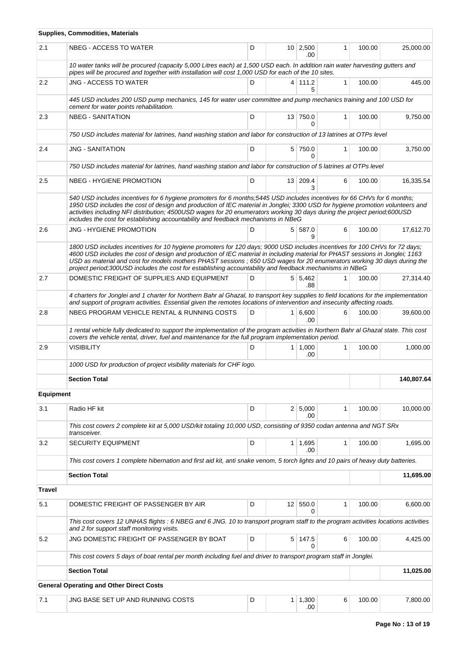|                  | <b>Supplies, Commodities, Materials</b>                                                                                                                                                                                                                                                                                                                                                                                                                                                           |   |  |                        |              |        |            |  |  |  |  |  |  |
|------------------|---------------------------------------------------------------------------------------------------------------------------------------------------------------------------------------------------------------------------------------------------------------------------------------------------------------------------------------------------------------------------------------------------------------------------------------------------------------------------------------------------|---|--|------------------------|--------------|--------|------------|--|--|--|--|--|--|
| 2.1              | NBEG - ACCESS TO WATER                                                                                                                                                                                                                                                                                                                                                                                                                                                                            | D |  | $10 \mid 2,500$<br>.00 | 1            | 100.00 | 25,000.00  |  |  |  |  |  |  |
|                  | 10 water tanks will be procured (capacity 5,000 Litres each) at 1,500 USD each. In addition rain water harvesting gutters and<br>pipes will be procured and together with installation will cost 1,000 USD for each of the 10 sites.                                                                                                                                                                                                                                                              |   |  |                        |              |        |            |  |  |  |  |  |  |
| 2.2              | JNG - ACCESS TO WATER                                                                                                                                                                                                                                                                                                                                                                                                                                                                             | D |  | 4 111.2<br>5           | $\mathbf{1}$ | 100.00 | 445.00     |  |  |  |  |  |  |
|                  | 445 USD includes 200 USD pump mechanics, 145 for water user committee and pump mechanics training and 100 USD for<br>cement for water points rehabilitation.                                                                                                                                                                                                                                                                                                                                      |   |  |                        |              |        |            |  |  |  |  |  |  |
| 2.3              | <b>NBEG - SANITATION</b>                                                                                                                                                                                                                                                                                                                                                                                                                                                                          | D |  | 13 750.0<br>0          | $\mathbf{1}$ | 100.00 | 9,750.00   |  |  |  |  |  |  |
|                  | 750 USD includes material for latrines, hand washing station and labor for construction of 13 latrines at OTPs level                                                                                                                                                                                                                                                                                                                                                                              |   |  |                        |              |        |            |  |  |  |  |  |  |
| 2.4              | <b>JNG - SANITATION</b>                                                                                                                                                                                                                                                                                                                                                                                                                                                                           | D |  | 5 750.0<br>0           | $\mathbf{1}$ | 100.00 | 3,750.00   |  |  |  |  |  |  |
|                  | 750 USD includes material for latrines, hand washing station and labor for construction of 5 latrines at OTPs level                                                                                                                                                                                                                                                                                                                                                                               |   |  |                        |              |        |            |  |  |  |  |  |  |
| 2.5              | NBEG - HYGIENE PROMOTION                                                                                                                                                                                                                                                                                                                                                                                                                                                                          | D |  | 13 209.4<br>3          | 6            | 100.00 | 16,335.54  |  |  |  |  |  |  |
|                  | 540 USD includes incentives for 6 hygiene promoters for 6 months;5445 USD includes incentives for 66 CHVs for 6 months;<br>1950 USD includes the cost of design and production of IEC material in Jonglei; 3300 USD for hygiene promotion volunteers and<br>activities including NFI distribution; 4500USD wages for 20 enumerators working 30 days during the project period;600USD<br>includes the cost for establishing accountability and feedback mechanisms in NBeG                         |   |  |                        |              |        |            |  |  |  |  |  |  |
| 2.6              | JNG - HYGIENE PROMOTION                                                                                                                                                                                                                                                                                                                                                                                                                                                                           | D |  | 5 587.0<br>я           | 6            | 100.00 | 17,612.70  |  |  |  |  |  |  |
|                  | 1800 USD includes incentives for 10 hygiene promoters for 120 days; 9000 USD includes incentives for 100 CHVs for 72 days;<br>4600 USD includes the cost of design and production of IEC material in including material for PHAST sessions in Jonglei; 1163<br>USD as material and cost for models mothers PHAST sessions; 650 USD wages for 20 enumerators working 30 days during the<br>project period;300USD includes the cost for establishing accountability and feedback mechanisms in NBeG |   |  |                        |              |        |            |  |  |  |  |  |  |
| 2.7              | DOMESTIC FREIGHT OF SUPPLIES AND EQUIPMENT                                                                                                                                                                                                                                                                                                                                                                                                                                                        | D |  | 5 5,462<br>.88         | $\mathbf{1}$ | 100.00 | 27,314.40  |  |  |  |  |  |  |
|                  | 4 charters for Jonglei and 1 charter for Northern Bahr al Ghazal, to transport key supplies to field locations for the implementation<br>and support of program activities. Essential given the remotes locations of intervention and insecurity affecting roads.                                                                                                                                                                                                                                 |   |  |                        |              |        |            |  |  |  |  |  |  |
| 2.8              | NBEG PROGRAM VEHICLE RENTAL & RUNNING COSTS                                                                                                                                                                                                                                                                                                                                                                                                                                                       | D |  | $1 \ 6,600$<br>.00     | 6            | 100.00 | 39,600.00  |  |  |  |  |  |  |
|                  | 1 rental vehicle fully dedicated to support the implementation of the program activities in Northern Bahr al Ghazal state. This cost<br>covers the vehicle rental, driver, fuel and maintenance for the full program implementation period.                                                                                                                                                                                                                                                       |   |  |                        |              |        |            |  |  |  |  |  |  |
| 2.9              | <b>VISIBILITY</b>                                                                                                                                                                                                                                                                                                                                                                                                                                                                                 | D |  | $1 \mid 1,000$<br>.00  | $\mathbf{1}$ | 100.00 | 1,000.00   |  |  |  |  |  |  |
|                  | 1000 USD for production of project visibility materials for CHF logo.                                                                                                                                                                                                                                                                                                                                                                                                                             |   |  |                        |              |        |            |  |  |  |  |  |  |
|                  | <b>Section Total</b>                                                                                                                                                                                                                                                                                                                                                                                                                                                                              |   |  |                        |              |        | 140,807.64 |  |  |  |  |  |  |
| <b>Equipment</b> |                                                                                                                                                                                                                                                                                                                                                                                                                                                                                                   |   |  |                        |              |        |            |  |  |  |  |  |  |
| 3.1              | Radio HF kit                                                                                                                                                                                                                                                                                                                                                                                                                                                                                      | D |  | 2   5,000<br>.00       | 1            | 100.00 | 10,000.00  |  |  |  |  |  |  |
|                  | This cost covers 2 complete kit at 5,000 USD/kit totaling 10,000 USD, consisting of 9350 codan antenna and NGT SRx<br>transceiver.                                                                                                                                                                                                                                                                                                                                                                |   |  |                        |              |        |            |  |  |  |  |  |  |
| 3.2              | <b>SECURITY EQUIPMENT</b>                                                                                                                                                                                                                                                                                                                                                                                                                                                                         | D |  | $1 \mid 1,695$<br>.00  | $\mathbf{1}$ | 100.00 | 1.695.00   |  |  |  |  |  |  |
|                  | This cost covers 1 complete hibernation and first aid kit, anti snake venom, 5 torch lights and 10 pairs of heavy duty batteries.                                                                                                                                                                                                                                                                                                                                                                 |   |  |                        |              |        |            |  |  |  |  |  |  |
|                  | <b>Section Total</b>                                                                                                                                                                                                                                                                                                                                                                                                                                                                              |   |  |                        |              |        | 11,695.00  |  |  |  |  |  |  |
| <b>Travel</b>    |                                                                                                                                                                                                                                                                                                                                                                                                                                                                                                   |   |  |                        |              |        |            |  |  |  |  |  |  |
| 5.1              | DOMESTIC FREIGHT OF PASSENGER BY AIR                                                                                                                                                                                                                                                                                                                                                                                                                                                              | D |  | 12 550.0<br>0          | 1            | 100.00 | 6,600.00   |  |  |  |  |  |  |
|                  | This cost covers 12 UNHAS flights : 6 NBEG and 6 JNG. 10 to transport program staff to the program activities locations activities<br>and 2 for support staff monitoring visits.                                                                                                                                                                                                                                                                                                                  |   |  |                        |              |        |            |  |  |  |  |  |  |
| 5.2              | JNG DOMESTIC FREIGHT OF PASSENGER BY BOAT                                                                                                                                                                                                                                                                                                                                                                                                                                                         | D |  | $5$ 147.5<br>$\Omega$  | 6            | 100.00 | 4,425.00   |  |  |  |  |  |  |
|                  | This cost covers 5 days of boat rental per month including fuel and driver to transport program staff in Jonglei.                                                                                                                                                                                                                                                                                                                                                                                 |   |  |                        |              |        |            |  |  |  |  |  |  |
|                  | <b>Section Total</b>                                                                                                                                                                                                                                                                                                                                                                                                                                                                              |   |  |                        |              |        | 11,025.00  |  |  |  |  |  |  |
|                  | <b>General Operating and Other Direct Costs</b>                                                                                                                                                                                                                                                                                                                                                                                                                                                   |   |  |                        |              |        |            |  |  |  |  |  |  |
| 7.1              | JNG BASE SET UP AND RUNNING COSTS                                                                                                                                                                                                                                                                                                                                                                                                                                                                 | D |  | $1 \mid 1,300$<br>.00  | 6            | 100.00 | 7,800.00   |  |  |  |  |  |  |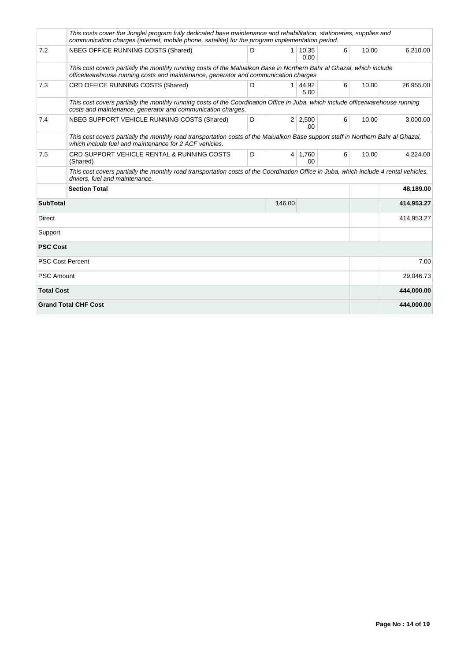|                         | This costs cover the Jonglei program fully dedicated base maintenance and rehabilitation, stationeries, supplies and<br>communication charges (internet, mobile phone, satellite) for the program implementation period. |      |                |                       |   |       |            |
|-------------------------|--------------------------------------------------------------------------------------------------------------------------------------------------------------------------------------------------------------------------|------|----------------|-----------------------|---|-------|------------|
| 7.2                     | NBEG OFFICE RUNNING COSTS (Shared)                                                                                                                                                                                       | D    | 1 <sup>1</sup> | 10,35<br>0.00         | 6 | 10.00 | 6,210.00   |
|                         | This cost covers partially the monthly running costs of the Malualkon Base in Northern Bahr al Ghazal, which include<br>office/warehouse running costs and maintenance, generator and communication charges.             |      |                |                       |   |       |            |
| 7.3                     | CRD OFFICE RUNNING COSTS (Shared)                                                                                                                                                                                        | 6    | 10.00          | 26,955.00             |   |       |            |
|                         | This cost covers partially the monthly running costs of the Coordination Office in Juba, which include office/warehouse running<br>costs and maintenance, generator and communication charges.                           |      |                |                       |   |       |            |
| 7.4                     | NBEG SUPPORT VEHICLE RUNNING COSTS (Shared)                                                                                                                                                                              | D    |                | $2 \mid 2,500$<br>.00 | 6 | 10.00 | 3,000.00   |
|                         | This cost covers partially the monthly road transportation costs of the Malualkon Base support staff in Northern Bahr al Ghazal,<br>which include fuel and maintenance for 2 ACF vehicles.                               |      |                |                       |   |       |            |
| 7.5                     | CRD SUPPORT VEHICLE RENTAL & RUNNING COSTS<br>(Shared)                                                                                                                                                                   | D    |                | $4 \mid 1,760$<br>.00 | 6 | 10.00 | 4,224.00   |
|                         | This cost covers partially the monthly road transportation costs of the Coordination Office in Juba, which include 4 rental vehicles,<br>drviers, fuel and maintenance.                                                  |      |                |                       |   |       |            |
|                         | <b>Section Total</b>                                                                                                                                                                                                     |      |                |                       |   |       | 48,189.00  |
| <b>SubTotal</b>         |                                                                                                                                                                                                                          |      | 146.00         |                       |   |       | 414,953.27 |
| <b>Direct</b>           |                                                                                                                                                                                                                          |      |                |                       |   |       | 414,953.27 |
| Support                 |                                                                                                                                                                                                                          |      |                |                       |   |       |            |
| <b>PSC Cost</b>         |                                                                                                                                                                                                                          |      |                |                       |   |       |            |
| <b>PSC Cost Percent</b> |                                                                                                                                                                                                                          | 7.00 |                |                       |   |       |            |
| <b>PSC Amount</b>       |                                                                                                                                                                                                                          |      |                |                       |   |       | 29,046.73  |
| <b>Total Cost</b>       |                                                                                                                                                                                                                          |      |                |                       |   |       | 444,000.00 |
|                         | <b>Grand Total CHF Cost</b>                                                                                                                                                                                              |      |                |                       |   |       | 444,000.00 |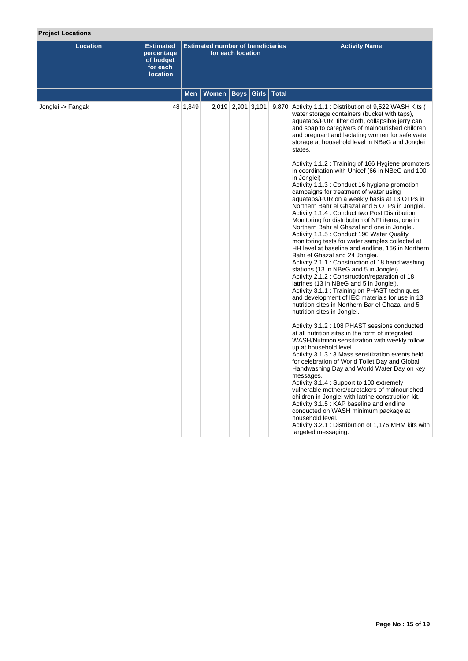## **Project Locations**

| <b>Location</b>   | <b>Estimated</b><br>percentage<br>of budget<br>for each<br><b>location</b> |            | <b>Estimated number of beneficiaries</b> | for each location |       |              | <b>Activity Name</b>                                                                                                                                                                                                                                                                                                                                                                                                                                                                                                                                                                                                                                                                                                                                                                                                                                                                                                                                                                                                                                                                                                                                                                                                                                                                                                                                                                                                                                                                                                                                                                                                                                                                                                                                                                                                                                                                                                                                                                                                                                                                |
|-------------------|----------------------------------------------------------------------------|------------|------------------------------------------|-------------------|-------|--------------|-------------------------------------------------------------------------------------------------------------------------------------------------------------------------------------------------------------------------------------------------------------------------------------------------------------------------------------------------------------------------------------------------------------------------------------------------------------------------------------------------------------------------------------------------------------------------------------------------------------------------------------------------------------------------------------------------------------------------------------------------------------------------------------------------------------------------------------------------------------------------------------------------------------------------------------------------------------------------------------------------------------------------------------------------------------------------------------------------------------------------------------------------------------------------------------------------------------------------------------------------------------------------------------------------------------------------------------------------------------------------------------------------------------------------------------------------------------------------------------------------------------------------------------------------------------------------------------------------------------------------------------------------------------------------------------------------------------------------------------------------------------------------------------------------------------------------------------------------------------------------------------------------------------------------------------------------------------------------------------------------------------------------------------------------------------------------------------|
|                   |                                                                            | <b>Men</b> | <b>Women</b>                             | <b>Boys</b>       | Girls | <b>Total</b> |                                                                                                                                                                                                                                                                                                                                                                                                                                                                                                                                                                                                                                                                                                                                                                                                                                                                                                                                                                                                                                                                                                                                                                                                                                                                                                                                                                                                                                                                                                                                                                                                                                                                                                                                                                                                                                                                                                                                                                                                                                                                                     |
| Jonglei -> Fangak |                                                                            | 48 1,849   |                                          | 2,019 2,901 3,101 |       |              | 9,870 Activity 1.1.1 : Distribution of 9,522 WASH Kits (<br>water storage containers (bucket with taps),<br>aquatabs/PUR, filter cloth, collapsible jerry can<br>and soap to caregivers of malnourished children<br>and pregnant and lactating women for safe water<br>storage at household level in NBeG and Jonglei<br>states.<br>Activity 1.1.2 : Training of 166 Hygiene promoters<br>in coordination with Unicef (66 in NBeG and 100<br>in Jonglei)<br>Activity 1.1.3 : Conduct 16 hygiene promotion<br>campaigns for treatment of water using<br>aquatabs/PUR on a weekly basis at 13 OTPs in<br>Northern Bahr el Ghazal and 5 OTPs in Jonglei.<br>Activity 1.1.4 : Conduct two Post Distribution<br>Monitoring for distribution of NFI items, one in<br>Northern Bahr el Ghazal and one in Jonglei.<br>Activity 1.1.5 : Conduct 190 Water Quality<br>monitoring tests for water samples collected at<br>HH level at baseline and endline, 166 in Northern<br>Bahr el Ghazal and 24 Jonglei.<br>Activity 2.1.1 : Construction of 18 hand washing<br>stations (13 in NBeG and 5 in Jonglei).<br>Activity 2.1.2 : Construction/reparation of 18<br>latrines (13 in NBeG and 5 in Jonglei).<br>Activity 3.1.1 : Training on PHAST techniques<br>and development of IEC materials for use in 13<br>nutrition sites in Northern Bar el Ghazal and 5<br>nutrition sites in Jonglei.<br>Activity 3.1.2 : 108 PHAST sessions conducted<br>at all nutrition sites in the form of integrated<br>WASH/Nutrition sensitization with weekly follow<br>up at household level.<br>Activity 3.1.3 : 3 Mass sensitization events held<br>for celebration of World Toilet Day and Global<br>Handwashing Day and World Water Day on key<br>messages.<br>Activity 3.1.4 : Support to 100 extremely<br>vulnerable mothers/caretakers of malnourished<br>children in Jonglei with latrine construction kit.<br>Activity 3.1.5 : KAP baseline and endline<br>conducted on WASH minimum package at<br>household level.<br>Activity 3.2.1 : Distribution of 1,176 MHM kits with<br>targeted messaging. |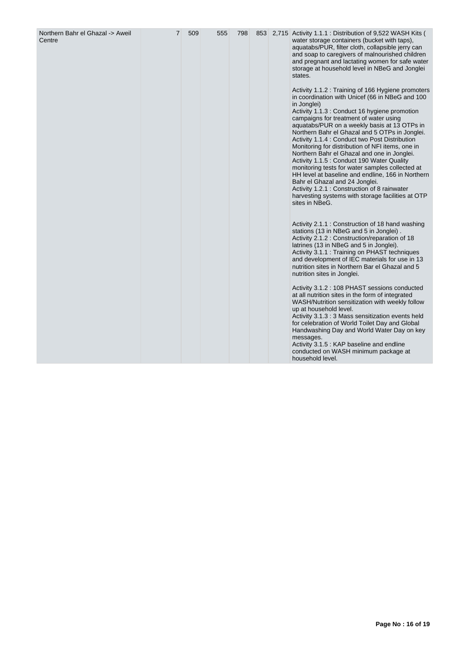| Northern Bahr el Ghazal -> Aweil<br>Centre | $\overline{7}$ | 509 | 555 | 798 |  | 853 2,715 Activity 1.1.1 : Distribution of 9,522 WASH Kits (<br>water storage containers (bucket with taps),<br>aquatabs/PUR, filter cloth, collapsible jerry can<br>and soap to caregivers of malnourished children<br>and pregnant and lactating women for safe water<br>storage at household level in NBeG and Jonglei<br>states.<br>Activity 1.1.2 : Training of 166 Hygiene promoters<br>in coordination with Unicef (66 in NBeG and 100<br>in Jonglei)<br>Activity 1.1.3 : Conduct 16 hygiene promotion<br>campaigns for treatment of water using<br>aquatabs/PUR on a weekly basis at 13 OTPs in<br>Northern Bahr el Ghazal and 5 OTPs in Jonglei.<br>Activity 1.1.4 : Conduct two Post Distribution<br>Monitoring for distribution of NFI items, one in<br>Northern Bahr el Ghazal and one in Jonglei.<br>Activity 1.1.5 : Conduct 190 Water Quality<br>monitoring tests for water samples collected at<br>HH level at baseline and endline, 166 in Northern<br>Bahr el Ghazal and 24 Jonglei.<br>Activity 1.2.1 : Construction of 8 rainwater<br>harvesting systems with storage facilities at OTP<br>sites in NBeG.<br>Activity 2.1.1 : Construction of 18 hand washing<br>stations (13 in NBeG and 5 in Jonglei).<br>Activity 2.1.2 : Construction/reparation of 18<br>latrines (13 in NBeG and 5 in Jonglei).<br>Activity 3.1.1 : Training on PHAST techniques<br>and development of IEC materials for use in 13<br>nutrition sites in Northern Bar el Ghazal and 5<br>nutrition sites in Jonglei.<br>Activity 3.1.2 : 108 PHAST sessions conducted<br>at all nutrition sites in the form of integrated<br>WASH/Nutrition sensitization with weekly follow<br>up at household level.<br>Activity 3.1.3 : 3 Mass sensitization events held<br>for celebration of World Toilet Day and Global<br>Handwashing Day and World Water Day on key |
|--------------------------------------------|----------------|-----|-----|-----|--|-------------------------------------------------------------------------------------------------------------------------------------------------------------------------------------------------------------------------------------------------------------------------------------------------------------------------------------------------------------------------------------------------------------------------------------------------------------------------------------------------------------------------------------------------------------------------------------------------------------------------------------------------------------------------------------------------------------------------------------------------------------------------------------------------------------------------------------------------------------------------------------------------------------------------------------------------------------------------------------------------------------------------------------------------------------------------------------------------------------------------------------------------------------------------------------------------------------------------------------------------------------------------------------------------------------------------------------------------------------------------------------------------------------------------------------------------------------------------------------------------------------------------------------------------------------------------------------------------------------------------------------------------------------------------------------------------------------------------------------------------------------------------------------------------------------------------------------------------------|
|                                            |                |     |     |     |  | messages.<br>Activity 3.1.5 : KAP baseline and endline<br>conducted on WASH minimum package at<br>household level.                                                                                                                                                                                                                                                                                                                                                                                                                                                                                                                                                                                                                                                                                                                                                                                                                                                                                                                                                                                                                                                                                                                                                                                                                                                                                                                                                                                                                                                                                                                                                                                                                                                                                                                                    |